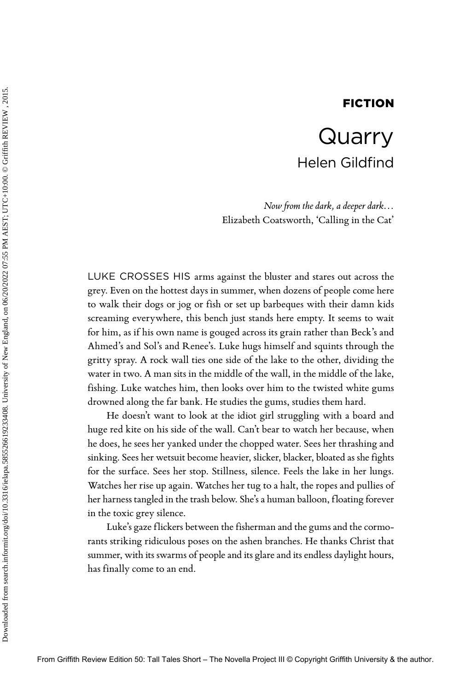## FICTION

## **Quarry** Helen Gildfind

*Now from the dark, a deeper dark…* Elizabeth Coatsworth, 'Calling in the Cat'

LUKE CROSSES HIS arms against the bluster and stares out across the grey. Even on the hottest days in summer, when dozens of people come here to walk their dogs or jog or fish or set up barbeques with their damn kids screaming everywhere, this bench just stands here empty. It seems to wait for him, as if his own name is gouged across its grain rather than Beck's and Ahmed's and Sol's and Renee's. Luke hugs himself and squints through the gritty spray. A rock wall ties one side of the lake to the other, dividing the water in two. A man sits in the middle of the wall, in the middle of the lake, fishing. Luke watches him, then looks over him to the twisted white gums drowned along the far bank. He studies the gums, studies them hard. **ENERTION CONSECTION CONTRACT CONTRACT CONTRACT CONTRACT CONTRACT CONTRACT CONTRACT CONTRACT CONTRACT CONTRACT CONTRACT CONTRACT CONTRACT CONTRACT CONTRACT CONTRACT CONTRACT CONTRACT CONTRACT CONTRACT CONTRACT CONTRACT CON** 

He doesn't want to look at the idiot girl struggling with a board and huge red kite on his side of the wall. Can't bear to watch her because, when he does, he sees her yanked under the chopped water. Sees her thrashing and sinking. Sees her wetsuit become heavier, slicker, blacker, bloated as she fights for the surface. Sees her stop. Stillness, silence. Feels the lake in her lungs. Watches her rise up again. Watches her tug to a halt, the ropes and pullies of her harness tangled in the trash below. She's a human balloon, floating forever in the toxic grey silence.

Luke's gaze flickers between the fisherman and the gums and the cormorants striking ridiculous poses on the ashen branches. He thanks Christ that summer, with its swarms of people and its glare and its endless daylight hours, has finally come to an end.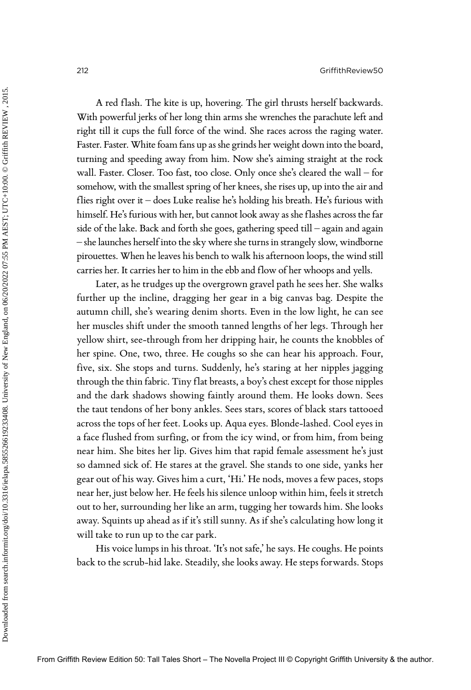A red flash. The kite is up, hovering. The girl thrusts herself backwards. With powerful jerks of her long thin arms she wrenches the parachute left and right till it cups the full force of the wind. She races across the raging water. Faster. Faster. White foam fans up as she grinds her weight down into the board, turning and speeding away from him. Now she's aiming straight at the rock wall. Faster. Closer. Too fast, too close. Only once she's cleared the wall – for somehow, with the smallest spring of her knees, she rises up, up into the air and flies right over it – does Luke realise he's holding his breath. He's furious with himself. He's furious with her, but cannot look away as she flashes across the far side of the lake. Back and forth she goes, gathering speed till – again and again – she launches herself into the sky where she turns in strangely slow, windborne pirouettes. When he leaves his bench to walk his afternoon loops, the wind still carries her. It carries her to him in the ebb and flow of her whoops and yells.

Later, as he trudges up the overgrown gravel path he sees her. She walks further up the incline, dragging her gear in a big canvas bag. Despite the autumn chill, she's wearing denim shorts. Even in the low light, he can see her muscles shift under the smooth tanned lengths of her legs. Through her yellow shirt, see-through from her dripping hair, he counts the knobbles of her spine. One, two, three. He coughs so she can hear his approach. Four, five, six. She stops and turns. Suddenly, he's staring at her nipples jagging through the thin fabric. Tiny flat breasts, a boy's chest except for those nipples and the dark shadows showing faintly around them. He looks down. Sees the taut tendons of her bony ankles. Sees stars, scores of black stars tattooed across the tops of her feet. Looks up. Aqua eyes. Blonde-lashed. Cool eyes in a face flushed from surfing, or from the icy wind, or from him, from being near him. She bites her lip. Gives him that rapid female assessment he's just so damned sick of. He stares at the gravel. She stands to one side, yanks her gear out of his way. Gives him a curt, 'Hi.' He nods, moves a few paces, stops near her, just below her. He feels his silence unloop within him, feels it stretch out to her, surrounding her like an arm, tugging her towards him. She looks away. Squints up ahead as if it's still sunny. As if she's calculating how long it will take to run up to the car park. A red Itaab. The kine is up, howering. The girl thrusts herelf hackwards,<br>
With powerfully click of the Cross disk arm also were<br>ables the paradient elet and tright in U in cup the full factor of the wind Ske neces across

His voice lumps in his throat. 'It's not safe,' he says. He coughs. He points back to the scrub-hid lake. Steadily, she looks away. He steps forwards. Stops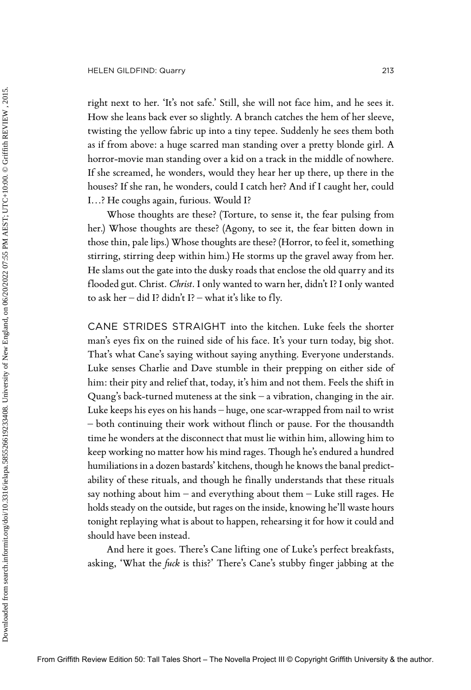right next to her. 'It's not safe.' Still, she will not face him, and he sees it. How she leans back ever so slightly. A branch catches the hem of her sleeve, twisting the yellow fabric up into a tiny tepee. Suddenly he sees them both as if from above: a huge scarred man standing over a pretty blonde girl. A horror-movie man standing over a kid on a track in the middle of nowhere. If she screamed, he wonders, would they hear her up there, up there in the houses? If she ran, he wonders, could I catch her? And if I caught her, could I…? He coughs again, furious. Would I?

Whose thoughts are these? (Torture, to sense it, the fear pulsing from her.) Whose thoughts are these? (Agony, to see it, the fear bitten down in those thin, pale lips.) Whose thoughts are these? (Horror, to feel it, something stirring, stirring deep within him.) He storms up the gravel away from her. He slams out the gate into the dusky roads that enclose the old quarry and its flooded gut. Christ*. Christ.* I only wanted to warn her, didn't I? I only wanted to ask her – did I? didn't I? – what it's like to fly.

CANE STRIDES STRAIGHT into the kitchen. Luke feels the shorter man's eyes fix on the ruined side of his face. It's your turn today, big shot. That's what Cane's saying without saying anything. Everyone understands. Luke senses Charlie and Dave stumble in their prepping on either side of him: their pity and relief that, today, it's him and not them. Feels the shift in Quang's back-turned muteness at the sink – a vibration, changing in the air. Luke keeps his eyes on his hands – huge, one scar-wrapped from nail to wrist – both continuing their work without flinch or pause. For the thousandth time he wonders at the disconnect that must lie within him, allowing him to keep working no matter how his mind rages. Though he's endured a hundred humiliations in a dozen bastards' kitchens, though he knows the banal predictability of these rituals, and though he finally understands that these rituals say nothing about him – and everything about them – Luke still rages. He holds steady on the outside, but rages on the inside, knowing he'll waste hours tonight replaying what is about to happen, rehearsing it for how it could and should have been instead. Fight neart to her. "It's not safe," Still, she will run face form, and he sees it.<br>How the latter both cent of the fightly. A branch carted the hear of her sleves,<br>covining the yclhow falstic up jinto a tiny tepe. Subdar

And here it goes. There's Cane lifting one of Luke's perfect breakfasts, asking, 'What the *fuck* is this?' There's Cane's stubby finger jabbing at the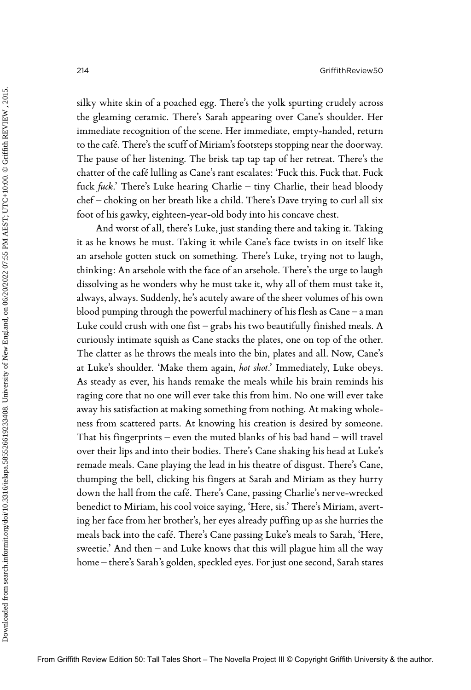silky white skin of a poached egg. There's the yolk spurting crudely across the gleaming ceramic. There's Sarah appearing over Cane's shoulder. Her immediate recognition of the scene. Her immediate, empty-handed, return to the café. There's the scuff of Miriam's footsteps stopping near the doorway. The pause of her listening. The brisk tap tap tap of her retreat. There's the chatter of the café lulling as Cane's rant escalates: 'Fuck this. Fuck that. Fuck fuck *fuck*.' There's Luke hearing Charlie – tiny Charlie, their head bloody chef – choking on her breath like a child. There's Dave trying to curl all six foot of his gawky, eighteen-year-old body into his concave chest.

And worst of all, there's Luke, just standing there and taking it. Taking it as he knows he must. Taking it while Cane's face twists in on itself like an arsehole gotten stuck on something. There's Luke, trying not to laugh, thinking: An arsehole with the face of an arsehole. There's the urge to laugh dissolving as he wonders why he must take it, why all of them must take it, always, always. Suddenly, he's acutely aware of the sheer volumes of his own blood pumping through the powerful machinery of his flesh as Cane – a man Luke could crush with one fist – grabs his two beautifully finished meals. A curiously intimate squish as Cane stacks the plates, one on top of the other. The clatter as he throws the meals into the bin, plates and all. Now, Cane's at Luke's shoulder. 'Make them again, *hot shot*.' Immediately, Luke obeys. As steady as ever, his hands remake the meals while his brain reminds his raging core that no one will ever take this from him. No one will ever take away his satisfaction at making something from nothing. At making wholeness from scattered parts. At knowing his creation is desired by someone. That his fingerprints – even the muted blanks of his bad hand – will travel over their lips and into their bodies. There's Cane shaking his head at Luke's remade meals. Cane playing the lead in his theatre of disgust. There's Cane, thumping the bell, clicking his fingers at Sarah and Miriam as they hurry down the hall from the café. There's Cane, passing Charlie's nerve-wrecked benedict to Miriam, his cool voice saying, 'Here, sis.' There's Miriam, averting her face from her brother's, her eyes already puffing up as she hurries the meals back into the café. There's Cane passing Luke's meals to Sarah, 'Here, sweetie.' And then – and Luke knows that this will plague him all the way home – there's Sarah's golden, speckled eyes. For just one second, Sarah stares stilly white skin of a possibal egg. There's she ynik spurting crudely across<br>the glorining centaric. There's shorts appearing over Case's abouther. Here<br>immediate recognition of the set on Figure limetation, energy-hande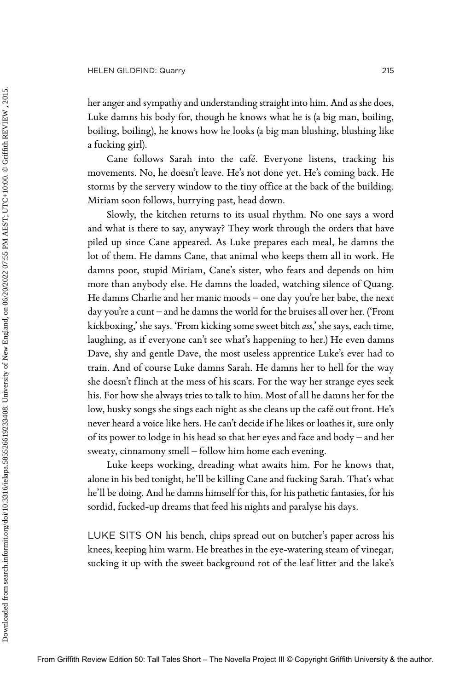her anger and sympathy and understanding straight into him. And as she does, Luke damns his body for, though he knows what he is (a big man, boiling, boiling, boiling), he knows how he looks (a big man blushing, blushing like a fucking girl).

Cane follows Sarah into the café. Everyone listens, tracking his movements. No, he doesn't leave. He's not done yet. He's coming back. He storms by the servery window to the tiny office at the back of the building. Miriam soon follows, hurrying past, head down.

Slowly, the kitchen returns to its usual rhythm. No one says a word and what is there to say, anyway? They work through the orders that have piled up since Cane appeared. As Luke prepares each meal, he damns the lot of them. He damns Cane, that animal who keeps them all in work. He damns poor, stupid Miriam, Cane's sister, who fears and depends on him more than anybody else. He damns the loaded, watching silence of Quang. He damns Charlie and her manic moods – one day you're her babe, the next day you're a cunt – and he damns the world for the bruises all over her. ('From kickboxing,' she says. 'From kicking some sweet bitch *ass*,' she says, each time, laughing, as if everyone can't see what's happening to her.) He even damns Dave, shy and gentle Dave, the most useless apprentice Luke's ever had to train. And of course Luke damns Sarah. He damns her to hell for the way she doesn't flinch at the mess of his scars. For the way her strange eyes seek his. For how she always tries to talk to him. Most of all he damns her for the low, husky songs she sings each night as she cleans up the café out front. He's never heard a voice like hers. He can't decide if he likes or loathes it, sure only of its power to lodge in his head so that her eyes and face and body – and her sweaty, cinnamony smell – follow him home each evening. her anger and sympathy and understanding straight time. And as she downs, the dottom his to be dottom his tothy for a booth g being man, bothing, bolding, bolding, bolding, bolding, bolding, bolding, bolding, bolding, bol

Luke keeps working, dreading what awaits him. For he knows that, alone in his bed tonight, he'll be killing Cane and fucking Sarah. That's what he'll be doing. And he damns himself for this, for his pathetic fantasies, for his sordid, fucked-up dreams that feed his nights and paralyse his days.

LUKE SITS ON his bench, chips spread out on butcher's paper across his knees, keeping him warm. He breathes in the eye-watering steam of vinegar, sucking it up with the sweet background rot of the leaf litter and the lake's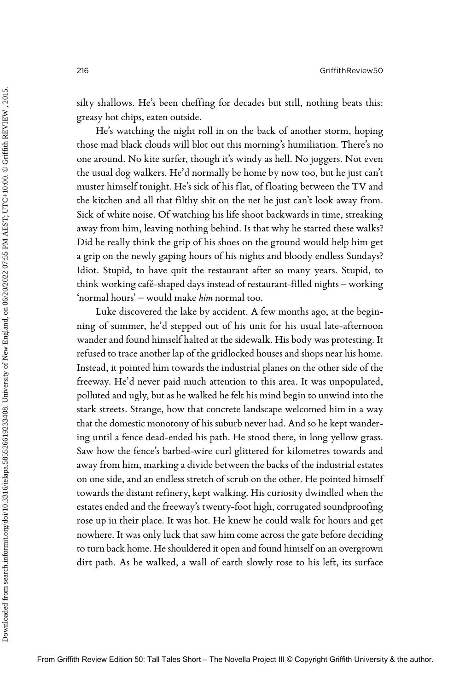silty shallows. He's been cheffing for decades but still, nothing beats this: greasy hot chips, eaten outside.

He's watching the night roll in on the back of another storm, hoping those mad black clouds will blot out this morning's humiliation. There's no one around. No kite surfer, though it's windy as hell. No joggers. Not even the usual dog walkers. He'd normally be home by now too, but he just can't muster himself tonight. He's sick of his flat, of floating between the TV and the kitchen and all that filthy shit on the net he just can't look away from. Sick of white noise. Of watching his life shoot backwards in time, streaking away from him, leaving nothing behind. Is that why he started these walks? Did he really think the grip of his shoes on the ground would help him get a grip on the newly gaping hours of his nights and bloody endless Sundays? Idiot. Stupid, to have quit the restaurant after so many years. Stupid, to think working café-shaped days instead of restaurant-filled nights – working 'normal hours' – would make *him* normal too.

Luke discovered the lake by accident. A few months ago, at the beginning of summer, he'd stepped out of his unit for his usual late-afternoon wander and found himself halted at the sidewalk. His body was protesting. It refused to trace another lap of the gridlocked houses and shops near his home. Instead, it pointed him towards the industrial planes on the other side of the freeway. He'd never paid much attention to this area. It was unpopulated, polluted and ugly, but as he walked he felt his mind begin to unwind into the stark streets. Strange, how that concrete landscape welcomed him in a way that the domestic monotony of his suburb never had. And so he kept wandering until a fence dead-ended his path. He stood there, in long yellow grass. Saw how the fence's barbed-wire curl glittered for kilometres towards and away from him, marking a divide between the backs of the industrial estates on one side, and an endless stretch of scrub on the other. He pointed himself towards the distant refinery, kept walking. His curiosity dwindled when the estates ended and the freeway's twenty-foot high, corrugated soundproofing rose up in their place. It was hot. He knew he could walk for hours and get nowhere. It was only luck that saw him come across the gate before deciding to turn back home. He shouldered it open and found himself on an overgrown dirt path. As he walked, a wall of earth slowly rose to his left, its surface stilly, shallows. He's been chefting for decades bat still, suching beast this:<br>gravity cho claps, esten outside.<br>The sample reduced and solution the land of a such as the state of the state of the state of the state of t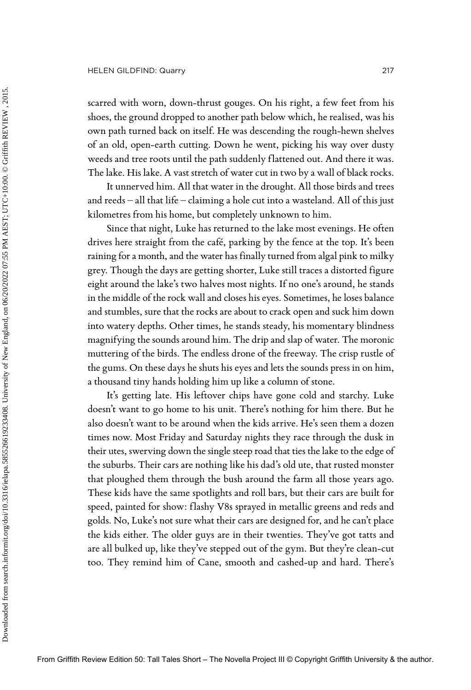scarred with worn, down-thrust gouges. On his right, a few feet from his shoes, the ground dropped to another path below which, he realised, was his own path turned back on itself. He was descending the rough-hewn shelves of an old, open-earth cutting. Down he went, picking his way over dusty weeds and tree roots until the path suddenly flattened out. And there it was. The lake. His lake. A vast stretch of water cut in two by a wall of black rocks.

It unnerved him. All that water in the drought. All those birds and trees and reeds – all that life – claiming a hole cut into a wasteland. All of this just kilometres from his home, but completely unknown to him.

Since that night, Luke has returned to the lake most evenings. He often drives here straight from the café, parking by the fence at the top. It's been raining for a month, and the water has finally turned from algal pink to milky grey. Though the days are getting shorter, Luke still traces a distorted figure eight around the lake's two halves most nights. If no one's around, he stands in the middle of the rock wall and closes his eyes. Sometimes, he loses balance and stumbles, sure that the rocks are about to crack open and suck him down into watery depths. Other times, he stands steady, his momentary blindness magnifying the sounds around him. The drip and slap of water. The moronic muttering of the birds. The endless drone of the freeway. The crisp rustle of the gums. On these days he shuts his eyes and lets the sounds press in on him, a thousand tiny hands holding him up like a column of stone.

It's getting late. His leftover chips have gone cold and starchy. Luke doesn't want to go home to his unit. There's nothing for him there. But he also doesn't want to be around when the kids arrive. He's seen them a dozen times now. Most Friday and Saturday nights they race through the dusk in their utes, swerving down the single steep road that ties the lake to the edge of the suburbs. Their cars are nothing like his dad's old ute, that rusted monster that ploughed them through the bush around the farm all those years ago. These kids have the same spotlights and roll bars, but their cars are built for speed, painted for show: flashy V8s sprayed in metallic greens and reds and golds. No, Luke's not sure what their cars are designed for, and he can't place the kids either. The older guys are in their twenties. They've got tatts and are all bulked up, like they've stepped out of the gym. But they're clean-cut too. They remind him of Cane, smooth and cashed-up and hard. There's scarved with worm, drown-drivate groups. On his right, a few feet from his shoet, the ground dropped to another path bolow which, he restinctly were the out of the output and the properties of from the lower than the cont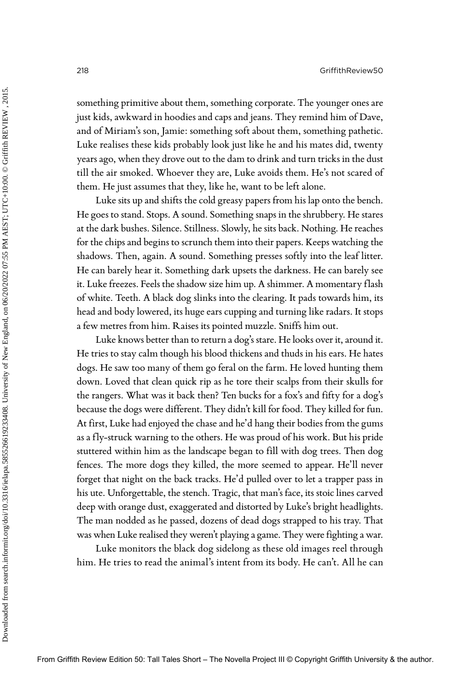something primitive about them, something corporate. The younger ones are just kids, awkward in hoodies and caps and jeans. They remind him of Dave, and of Miriam's son, Jamie: something soft about them, something pathetic. Luke realises these kids probably look just like he and his mates did, twenty years ago, when they drove out to the dam to drink and turn tricks in the dust till the air smoked. Whoever they are, Luke avoids them. He's not scared of them. He just assumes that they, like he, want to be left alone.

Luke sits up and shifts the cold greasy papers from his lap onto the bench. He goes to stand. Stops. A sound. Something snaps in the shrubbery. He stares at the dark bushes. Silence. Stillness. Slowly, he sits back. Nothing. He reaches for the chips and begins to scrunch them into their papers. Keeps watching the shadows. Then, again. A sound. Something presses softly into the leaf litter. He can barely hear it. Something dark upsets the darkness. He can barely see it. Luke freezes. Feels the shadow size him up. A shimmer. A momentary flash of white. Teeth. A black dog slinks into the clearing. It pads towards him, its head and body lowered, its huge ears cupping and turning like radars. It stops a few metres from him. Raises its pointed muzzle. Sniffs him out.

Luke knows better than to return a dog's stare. He looks over it, around it. He tries to stay calm though his blood thickens and thuds in his ears. He hates dogs. He saw too many of them go feral on the farm. He loved hunting them down. Loved that clean quick rip as he tore their scalps from their skulls for the rangers. What was it back then? Ten bucks for a fox's and fifty for a dog's because the dogs were different. They didn't kill for food. They killed for fun. At first, Luke had enjoyed the chase and he'd hang their bodies from the gums as a fly-struck warning to the others. He was proud of his work. But his pride stuttered within him as the landscape began to fill with dog trees. Then dog fences. The more dogs they killed, the more seemed to appear. He'll never forget that night on the back tracks. He'd pulled over to let a trapper pass in his ute. Unforgettable, the stench. Tragic, that man's face, its stoic lines carved deep with orange dust, exaggerated and distorted by Luke's bright headlights. The man nodded as he passed, dozens of dead dogs strapped to his tray. That was when Luke realised they weren't playing a game. They were fighting a war. something privatives about chem, something carporate. The younger meatric just kids, such can consider and operators and of the main of any term in the main of the served in the case of the consideration of the served by

Luke monitors the black dog sidelong as these old images reel through him. He tries to read the animal's intent from its body. He can't. All he can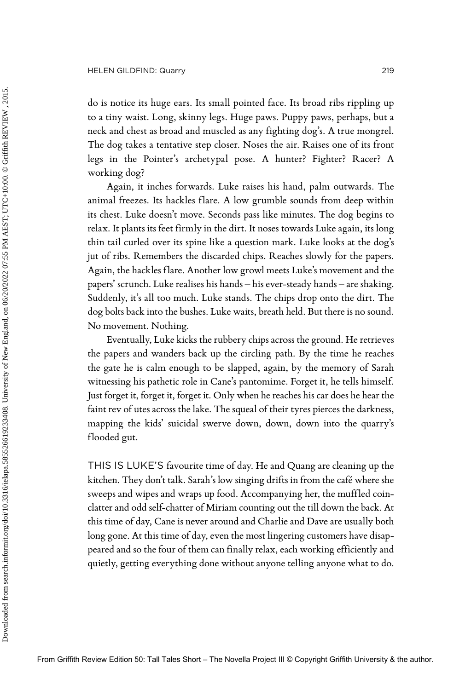do is notice its huge ears. Its small pointed face. Its broad ribs rippling up to a tiny waist. Long, skinny legs. Huge paws. Puppy paws, perhaps, but a neck and chest as broad and muscled as any fighting dog's. A true mongrel. The dog takes a tentative step closer. Noses the air. Raises one of its front legs in the Pointer's archetypal pose. A hunter? Fighter? Racer? A working dog?

Again, it inches forwards. Luke raises his hand, palm outwards. The animal freezes. Its hackles flare. A low grumble sounds from deep within its chest. Luke doesn't move. Seconds pass like minutes. The dog begins to relax. It plants its feet firmly in the dirt. It noses towards Luke again, its long thin tail curled over its spine like a question mark. Luke looks at the dog's jut of ribs. Remembers the discarded chips. Reaches slowly for the papers. Again, the hackles flare. Another low growl meets Luke's movement and the papers' scrunch. Luke realises his hands – his ever-steady hands – are shaking. Suddenly, it's all too much. Luke stands. The chips drop onto the dirt. The dog bolts back into the bushes. Luke waits, breath held. But there is no sound. No movement. Nothing. do is wordce its buge cars. Its small pointed face. Its bruad ribs rippling up<br>co a title whis Long, shitted peak parts, Pappy pays a stack and close at coal since and all anticed a sany fighting dog's. A rece monger!<br>The

Eventually, Luke kicks the rubbery chips across the ground. He retrieves the papers and wanders back up the circling path. By the time he reaches the gate he is calm enough to be slapped, again, by the memory of Sarah witnessing his pathetic role in Cane's pantomime. Forget it, he tells himself. Just forget it, forget it, forget it. Only when he reaches his car does he hear the faint rev of utes across the lake. The squeal of their tyres pierces the darkness, mapping the kids' suicidal swerve down, down, down into the quarry's flooded gut.

THIS IS LUKE'S favourite time of day. He and Quang are cleaning up the kitchen. They don't talk. Sarah's low singing drifts in from the café where she sweeps and wipes and wraps up food. Accompanying her, the muffled coinclatter and odd self-chatter of Miriam counting out the till down the back. At this time of day, Cane is never around and Charlie and Dave are usually both long gone. At this time of day, even the most lingering customers have disappeared and so the four of them can finally relax, each working efficiently and quietly, getting everything done without anyone telling anyone what to do.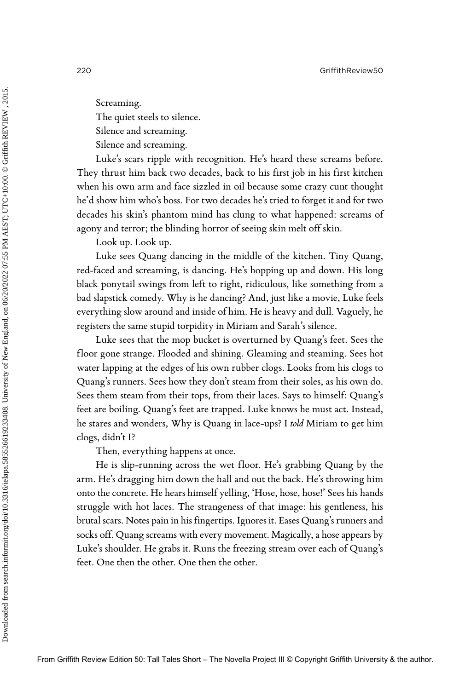Screaming. The quiet steels to silence.

Silence and screaming.

Silence and screaming.

Luke's scars ripple with recognition. He's heard these screams before. They thrust him back two decades, back to his first job in his first kitchen when his own arm and face sizzled in oil because some crazy cunt thought he'd show him who's boss. For two decades he's tried to forget it and for two decades his skin's phantom mind has clung to what happened: screams of agony and terror; the blinding horror of seeing skin melt off skin.

Look up. Look up.

Luke sees Quang dancing in the middle of the kitchen. Tiny Quang, red-faced and screaming, is dancing. He's hopping up and down. His long black ponytail swings from left to right, ridiculous, like something from a bad slapstick comedy. Why is he dancing? And, just like a movie, Luke feels everything slow around and inside of him. He is heavy and dull. Vaguely, he registers the same stupid torpidity in Miriam and Sarah's silence.

Luke sees that the mop bucket is overturned by Quang's feet. Sees the floor gone strange. Flooded and shining. Gleaming and steaming. Sees hot water lapping at the edges of his own rubber clogs. Looks from his clogs to Quang's runners. Sees how they don't steam from their soles, as his own do. Sees them steam from their tops, from their laces. Says to himself: Quang's feet are boiling. Quang's feet are trapped. Luke knows he must act. Instead, he stares and wonders, Why is Quang in lace-ups? I *told* Miriam to get him clogs, didn't I? Section and section of the spin section of the spin section of the spin section of the spin section of the spin section of the spin section of the spin section of the spin section of the spin section of the spin section o

Then, everything happens at once.

He is slip-running across the wet floor. He's grabbing Quang by the arm. He's dragging him down the hall and out the back. He's throwing him onto the concrete. He hears himself yelling, 'Hose, hose, hose!' Sees his hands struggle with hot laces. The strangeness of that image: his gentleness, his brutal scars. Notes pain in his fingertips. Ignores it. Eases Quang's runners and socks off. Quang screams with every movement. Magically, a hose appears by Luke's shoulder. He grabs it. Runs the freezing stream over each of Quang's feet. One then the other. One then the other.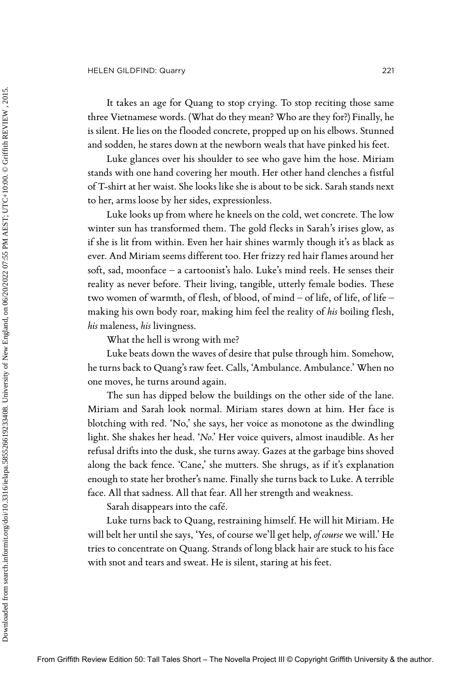It takes an age for Quang to stop crying. To stop reciting those same three Vietnamese words. (What do they mean? Who are they for?) Finally, he is silent. He lies on the flooded concrete, propped up on his elbows. Stunned and sodden, he stares down at the newborn weals that have pinked his feet.

Luke glances over his shoulder to see who gave him the hose. Miriam stands with one hand covering her mouth. Her other hand clenches a fistful of T-shirt at her waist. She looks like she is about to be sick. Sarah stands next to her, arms loose by her sides, expressionless.

Luke looks up from where he kneels on the cold, wet concrete. The low winter sun has transformed them. The gold flecks in Sarah's irises glow, as if she is lit from within. Even her hair shines warmly though it's as black as ever. And Miriam seems different too. Her frizzy red hair flames around her soft, sad, moonface – a cartoonist's halo. Luke's mind reels. He senses their reality as never before. Their living, tangible, utterly female bodies. These two women of warmth, of flesh, of blood, of mind – of life, of life, of life – making his own body roar, making him feel the reality of *his* boiling flesh, *his* maleness, *his* livingness. It takes an age for Quarg as step crying. To see<br>p recting those same three Vetamanes words. (What do those the particular,<br>the line on the Rooded connect, propped up on his cllows. Strungth and<br>side, he states identicall

What the hell is wrong with me?

Luke beats down the waves of desire that pulse through him. Somehow, he turns back to Quang's raw feet. Calls, 'Ambulance. Ambulance.' When no one moves, he turns around again.

The sun has dipped below the buildings on the other side of the lane. Miriam and Sarah look normal. Miriam stares down at him. Her face is blotching with red. 'No,' she says, her voice as monotone as the dwindling light. She shakes her head. '*No*.' Her voice quivers, almost inaudible. As her refusal drifts into the dusk, she turns away. Gazes at the garbage bins shoved along the back fence. 'Cane,' she mutters. She shrugs, as if it's explanation enough to state her brother's name. Finally she turns back to Luke. A terrible face. All that sadness. All that fear. All her strength and weakness.

Sarah disappears into the café.

Luke turns back to Quang, restraining himself. He will hit Miriam. He will belt her until she says, 'Yes, of course we'll get help, *of course* we will.' He tries to concentrate on Quang. Strands of long black hair are stuck to his face with snot and tears and sweat. He is silent, staring at his feet.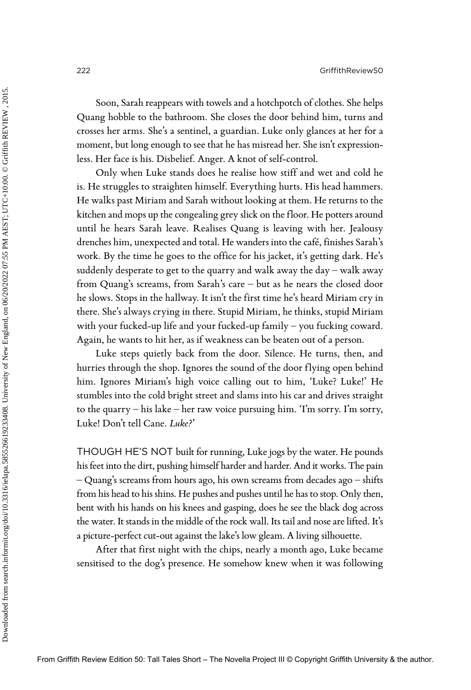Soon, Sarah reappears with towels and a hotchpotch of clothes. She helps Quang hobble to the bathroom. She closes the door behind him, turns and crosses her arms. She's a sentinel, a guardian. Luke only glances at her for a moment, but long enough to see that he has misread her. She isn't expressionless. Her face is his. Disbelief. Anger. A knot of self-control.

Only when Luke stands does he realise how stiff and wet and cold he is. He struggles to straighten himself. Everything hurts. His head hammers. He walks past Miriam and Sarah without looking at them. He returns to the kitchen and mops up the congealing grey slick on the floor. He potters around until he hears Sarah leave. Realises Quang is leaving with her. Jealousy drenches him, unexpected and total. He wanders into the café, finishes Sarah's work. By the time he goes to the office for his jacket, it's getting dark. He's suddenly desperate to get to the quarry and walk away the day – walk away from Quang's screams, from Sarah's care – but as he nears the closed door he slows. Stops in the hallway. It isn't the first time he's heard Miriam cry in there. She's always crying in there. Stupid Miriam, he thinks, stupid Miriam with your fucked-up life and your fucked-up family – you fucking coward. Again, he wants to hit her, as if weakness can be beaten out of a person. Since, Sarah wappears with investoral a basebputch of chahes. She helps<br>to the controller to the batternoon. Be close the door to be done the summer is that in terms of the summer is the set of the summer base of the summ

Luke steps quietly back from the door. Silence. He turns, then, and hurries through the shop. Ignores the sound of the door flying open behind him. Ignores Miriam's high voice calling out to him, 'Luke? Luke!' He stumbles into the cold bright street and slams into his car and drives straight to the quarry – his lake – her raw voice pursuing him. 'I'm sorry. I'm sorry, Luke! Don't tell Cane. *Luke?*'

THOUGH HE'S NOT built for running, Luke jogs by the water. He pounds his feet into the dirt, pushing himself harder and harder. And it works. The pain – Quang's screams from hours ago, his own screams from decades ago – shifts from his head to his shins. He pushes and pushes until he has to stop. Only then, bent with his hands on his knees and gasping, does he see the black dog across the water. It stands in the middle of the rock wall. Its tail and nose are lifted. It's a picture-perfect cut-out against the lake's low gleam. A living silhouette.

After that first night with the chips, nearly a month ago, Luke became sensitised to the dog's presence. He somehow knew when it was following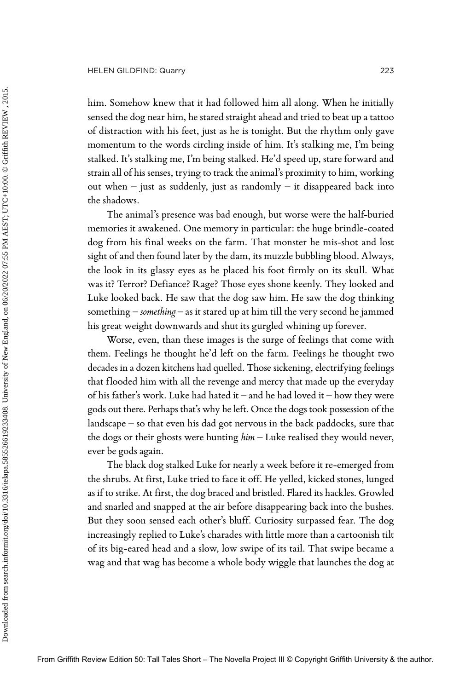him. Somehow knew that it had followed him all along. When he initially sensed the dog near him, he stared straight ahead and tried to beat up a tattoo of distraction with his feet, just as he is tonight. But the rhythm only gave momentum to the words circling inside of him. It's stalking me, I'm being stalked. It's stalking me, I'm being stalked. He'd speed up, stare forward and strain all of his senses, trying to track the animal's proximity to him, working out when – just as suddenly, just as randomly – it disappeared back into the shadows.

The animal's presence was bad enough, but worse were the half-buried memories it awakened. One memory in particular: the huge brindle-coated dog from his final weeks on the farm. That monster he mis-shot and lost sight of and then found later by the dam, its muzzle bubbling blood. Always, the look in its glassy eyes as he placed his foot firmly on its skull. What was it? Terror? Defiance? Rage? Those eyes shone keenly. They looked and Luke looked back. He saw that the dog saw him. He saw the dog thinking something – *something* – as it stared up at him till the very second he jammed his great weight downwards and shut its gurgled whining up forever.

Worse, even, than these images is the surge of feelings that come with them. Feelings he thought he'd left on the farm. Feelings he thought two decades in a dozen kitchens had quelled. Those sickening, electrifying feelings that flooded him with all the revenge and mercy that made up the everyday of his father's work. Luke had hated it – and he had loved it – how they were gods out there. Perhaps that's why he left. Once the dogs took possession of the landscape – so that even his dad got nervous in the back paddocks, sure that the dogs or their ghosts were hunting *him* – Luke realised they would never, ever be gods again. Firm. Somebow knew that it had followed bim all along. When he instituly sense the degree trian, he ranks training he along the first best up a true of the degree of the degree of the surface of the surface of the surface

The black dog stalked Luke for nearly a week before it re-emerged from the shrubs. At first, Luke tried to face it off. He yelled, kicked stones, lunged as if to strike. At first, the dog braced and bristled. Flared its hackles. Growled and snarled and snapped at the air before disappearing back into the bushes. But they soon sensed each other's bluff. Curiosity surpassed fear. The dog increasingly replied to Luke's charades with little more than a cartoonish tilt of its big-eared head and a slow, low swipe of its tail. That swipe became a wag and that wag has become a whole body wiggle that launches the dog at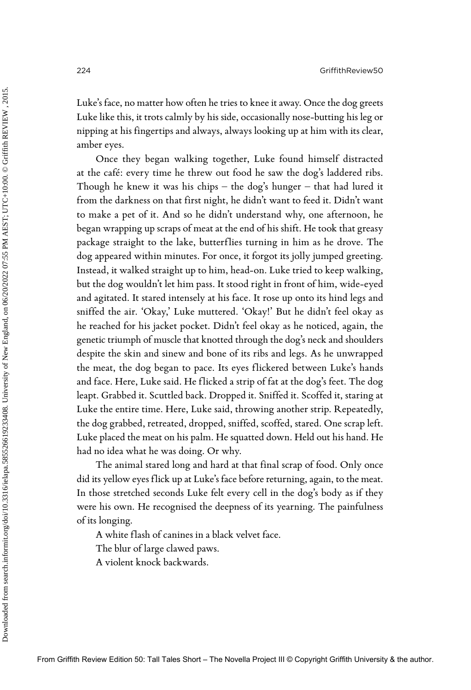Luke's face, no matter how often he tries to knee it away. Once the dog greets Luke like this, it trots calmly by his side, occasionally nose-butting his leg or nipping at his fingertips and always, always looking up at him with its clear, amber eyes.

Once they began walking together, Luke found himself distracted at the café: every time he threw out food he saw the dog's laddered ribs. Though he knew it was his chips – the dog's hunger – that had lured it from the darkness on that first night, he didn't want to feed it. Didn't want to make a pet of it. And so he didn't understand why, one afternoon, he began wrapping up scraps of meat at the end of his shift. He took that greasy package straight to the lake, butterflies turning in him as he drove. The dog appeared within minutes. For once, it forgot its jolly jumped greeting. Instead, it walked straight up to him, head-on. Luke tried to keep walking, but the dog wouldn't let him pass. It stood right in front of him, wide-eyed and agitated. It stared intensely at his face. It rose up onto its hind legs and sniffed the air. 'Okay,' Luke muttered. 'Okay!' But he didn't feel okay as he reached for his jacket pocket. Didn't feel okay as he noticed, again, the genetic triumph of muscle that knotted through the dog's neck and shoulders despite the skin and sinew and bone of its ribs and legs. As he unwrapped the meat, the dog began to pace. Its eyes flickered between Luke's hands and face. Here, Luke said. He flicked a strip of fat at the dog's feet. The dog leapt. Grabbed it. Scuttled back. Dropped it. Sniffed it. Scoffed it, staring at Luke the entire time. Here, Luke said, throwing another strip. Repeatedly, the dog grabbed, retreated, dropped, sniffed, scoffed, stared. One scrap left. Luke placed the meat on his palm. He squatted down. Held out his hand. He had no idea what he was doing. Or why. Lake's face, no matter how of fem he tries to keen it away. Once the deag press<br>
Lake his edia, it reas calably by his side, occasionally prose-borting his leg cor<br>
surprime at his integretic parad above, always looking u

The animal stared long and hard at that final scrap of food. Only once did its yellow eyes flick up at Luke's face before returning, again, to the meat. In those stretched seconds Luke felt every cell in the dog's body as if they were his own. He recognised the deepness of its yearning. The painfulness of its longing.

A white flash of canines in a black velvet face.

The blur of large clawed paws.

A violent knock backwards.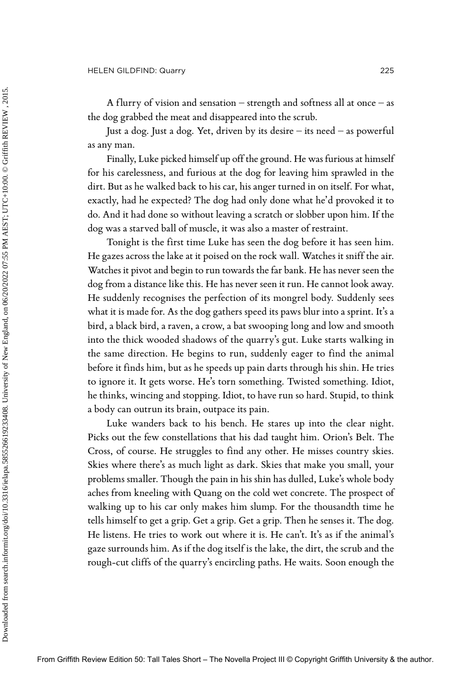A flurry of vision and sensation – strength and softness all at once – as the dog grabbed the meat and disappeared into the scrub.

Just a dog. Just a dog. Yet, driven by its desire – its need – as powerful as any man.

Finally, Luke picked himself up off the ground. He was furious at himself for his carelessness, and furious at the dog for leaving him sprawled in the dirt. But as he walked back to his car, his anger turned in on itself. For what, exactly, had he expected? The dog had only done what he'd provoked it to do. And it had done so without leaving a scratch or slobber upon him. If the dog was a starved ball of muscle, it was also a master of restraint.

Tonight is the first time Luke has seen the dog before it has seen him. He gazes across the lake at it poised on the rock wall. Watches it sniff the air. Watches it pivot and begin to run towards the far bank. He has never seen the dog from a distance like this. He has never seen it run. He cannot look away. He suddenly recognises the perfection of its mongrel body. Suddenly sees what it is made for. As the dog gathers speed its paws blur into a sprint. It's a bird, a black bird, a raven, a crow, a bat swooping long and low and smooth into the thick wooded shadows of the quarry's gut. Luke starts walking in the same direction. He begins to run, suddenly eager to find the animal before it finds him, but as he speeds up pain darts through his shin. He tries to ignore it. It gets worse. He's torn something. Twisted something. Idiot, he thinks, wincing and stopping. Idiot, to have run so hard. Stupid, to think a body can outrun its brain, outpace its pain. A Hurry of vistion and sentation – arrength and suftness all at order = as<br>the dog gradible that that the sentation that the struck<br>
I are also gradient that the structure of the ground. He was further a moved in<br>
I and t

Luke wanders back to his bench. He stares up into the clear night. Picks out the few constellations that his dad taught him. Orion's Belt. The Cross, of course. He struggles to find any other. He misses country skies. Skies where there's as much light as dark. Skies that make you small, your problems smaller. Though the pain in his shin has dulled, Luke's whole body aches from kneeling with Quang on the cold wet concrete. The prospect of walking up to his car only makes him slump. For the thousandth time he tells himself to get a grip. Get a grip. Get a grip. Then he senses it. The dog. He listens. He tries to work out where it is. He can't. It's as if the animal's gaze surrounds him. As if the dog itself is the lake, the dirt, the scrub and the rough-cut cliffs of the quarry's encircling paths. He waits. Soon enough the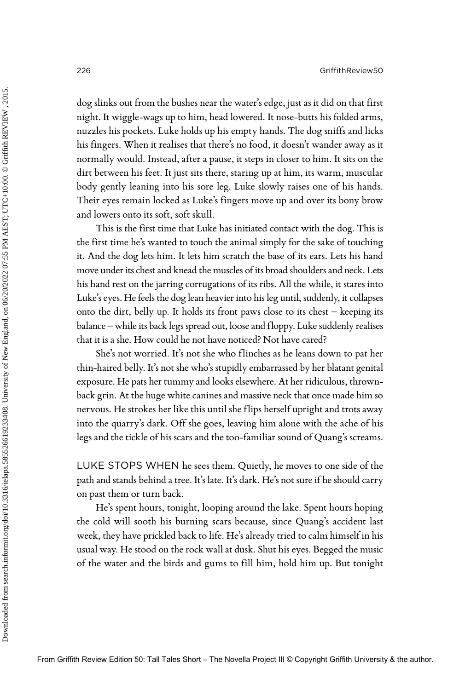dog slinks out from the bushes near the water's edge, just as it did on that first night. It wiggle-wags up to him, head lowered. It nose-butts his folded arms, nuzzles his pockets. Luke holds up his empty hands. The dog sniffs and licks his fingers. When it realises that there's no food, it doesn't wander away as it normally would. Instead, after a pause, it steps in closer to him. It sits on the dirt between his feet. It just sits there, staring up at him, its warm, muscular body gently leaning into his sore leg. Luke slowly raises one of his hands. Their eyes remain locked as Luke's fingers move up and over its bony brow and lowers onto its soft, soft skull. day dook cont from the baobs oner the water's edge, just as it did on that if required that twisted strengths to binn between throuse botters. In the single-way is the single-way in the single-way in the single-way is the

This is the first time that Luke has initiated contact with the dog. This is the first time he's wanted to touch the animal simply for the sake of touching it. And the dog lets him. It lets him scratch the base of its ears. Lets his hand move under its chest and knead the muscles of its broad shoulders and neck. Lets his hand rest on the jarring corrugations of its ribs. All the while, it stares into Luke's eyes. He feels the dog lean heavier into his leg until, suddenly, it collapses onto the dirt, belly up. It holds its front paws close to its chest – keeping its balance – while its back legs spread out, loose and floppy. Luke suddenly realises that it is a she. How could he not have noticed? Not have cared?

She's not worried. It's not she who flinches as he leans down to pat her thin-haired belly. It's not she who's stupidly embarrassed by her blatant genital exposure. He pats her tummy and looks elsewhere. At her ridiculous, thrownback grin. At the huge white canines and massive neck that once made him so nervous. He strokes her like this until she flips herself upright and trots away into the quarry's dark. Off she goes, leaving him alone with the ache of his legs and the tickle of his scars and the too-familiar sound of Quang's screams.

LUKE STOPS WHEN he sees them. Quietly, he moves to one side of the path and stands behind a tree. It's late. It's dark. He's not sure if he should carry on past them or turn back.

He's spent hours, tonight, looping around the lake. Spent hours hoping the cold will sooth his burning scars because, since Quang's accident last week, they have prickled back to life. He's already tried to calm himself in his usual way. He stood on the rock wall at dusk. Shut his eyes. Begged the music of the water and the birds and gums to fill him, hold him up. But tonight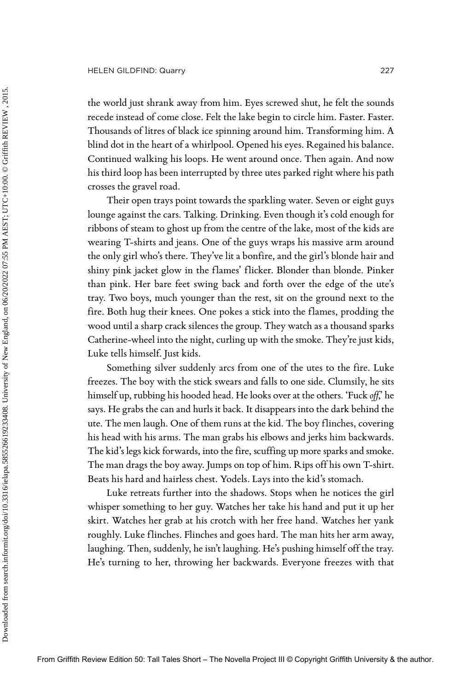the world just shrank away from him. Eyes screwed shut, he felt the sounds recede instead of come close. Felt the lake begin to circle him. Faster. Faster. Thousands of litres of black ice spinning around him. Transforming him. A blind dot in the heart of a whirlpool. Opened his eyes. Regained his balance. Continued walking his loops. He went around once. Then again. And now his third loop has been interrupted by three utes parked right where his path crosses the gravel road.

Their open trays point towards the sparkling water. Seven or eight guys lounge against the cars. Talking. Drinking. Even though it's cold enough for ribbons of steam to ghost up from the centre of the lake, most of the kids are wearing T-shirts and jeans. One of the guys wraps his massive arm around the only girl who's there. They've lit a bonfire, and the girl's blonde hair and shiny pink jacket glow in the flames' flicker. Blonder than blonde. Pinker than pink. Her bare feet swing back and forth over the edge of the ute's tray. Two boys, much younger than the rest, sit on the ground next to the fire. Both hug their knees. One pokes a stick into the flames, prodding the wood until a sharp crack silences the group. They watch as a thousand sparks Catherine-wheel into the night, curling up with the smoke. They're just kids, Luke tells himself. Just kids. die wurdd junt duran kwasy from him, Eyes screwed shut, he felt the summission of come and of come and color that his begin to calcula his method. The method is the state in the final during a bound dimension of the bind

Something silver suddenly arcs from one of the utes to the fire. Luke freezes. The boy with the stick swears and falls to one side. Clumsily, he sits himself up, rubbing his hooded head. He looks over at the others. 'Fuck *off*,' he says. He grabs the can and hurls it back. It disappears into the dark behind the ute. The men laugh. One of them runs at the kid. The boy flinches, covering his head with his arms. The man grabs his elbows and jerks him backwards. The kid's legs kick forwards, into the fire, scuffing up more sparks and smoke. The man drags the boy away. Jumps on top of him. Rips off his own T-shirt. Beats his hard and hairless chest. Yodels. Lays into the kid's stomach.

Luke retreats further into the shadows. Stops when he notices the girl whisper something to her guy. Watches her take his hand and put it up her skirt. Watches her grab at his crotch with her free hand. Watches her yank roughly. Luke flinches. Flinches and goes hard. The man hits her arm away, laughing. Then, suddenly, he isn't laughing. He's pushing himself off the tray. He's turning to her, throwing her backwards. Everyone freezes with that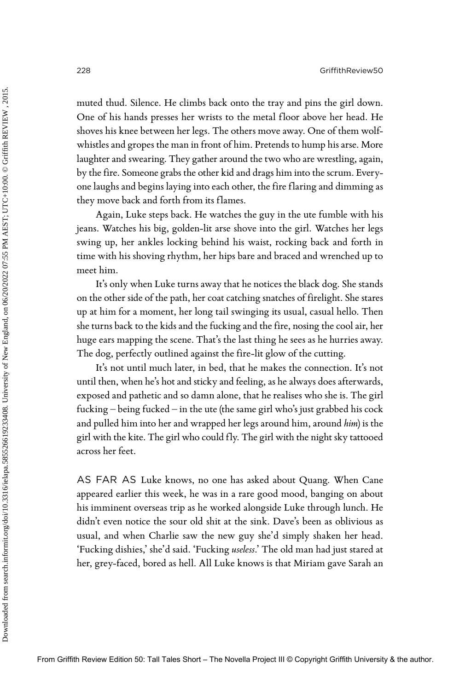muted thud. Silence. He climbs back onto the tray and pins the girl down. One of his hands presses her wrists to the metal floor above her head. He shoves his knee between her legs. The others move away. One of them wolfwhistles and gropes the man in front of him. Pretends to hump his arse. More laughter and swearing. They gather around the two who are wrestling, again, by the fire. Someone grabs the other kid and drags him into the scrum. Everyone laughs and begins laying into each other, the fire flaring and dimming as they move back and forth from its flames. muted thual. Stienes. He climbs back owen the tray and pitns the pit down.<br>
One of his hands present he writts to the metal floor aboves he head. He<br>
dowers his lacker back back back the metal floor above her head. He<br>
sh

Again, Luke steps back. He watches the guy in the ute fumble with his jeans. Watches his big, golden-lit arse shove into the girl. Watches her legs swing up, her ankles locking behind his waist, rocking back and forth in time with his shoving rhythm, her hips bare and braced and wrenched up to meet him.

It's only when Luke turns away that he notices the black dog. She stands on the other side of the path, her coat catching snatches of firelight. She stares up at him for a moment, her long tail swinging its usual, casual hello. Then she turns back to the kids and the fucking and the fire, nosing the cool air, her huge ears mapping the scene. That's the last thing he sees as he hurries away. The dog, perfectly outlined against the fire-lit glow of the cutting.

It's not until much later, in bed, that he makes the connection. It's not until then, when he's hot and sticky and feeling, as he always does afterwards, exposed and pathetic and so damn alone, that he realises who she is. The girl fucking – being fucked – in the ute (the same girl who's just grabbed his cock and pulled him into her and wrapped her legs around him, around *him*) is the girl with the kite. The girl who could fly. The girl with the night sky tattooed across her feet.

AS FAR AS Luke knows, no one has asked about Quang. When Cane appeared earlier this week, he was in a rare good mood, banging on about his imminent overseas trip as he worked alongside Luke through lunch. He didn't even notice the sour old shit at the sink. Dave's been as oblivious as usual, and when Charlie saw the new guy she'd simply shaken her head. 'Fucking dishies,' she'd said. 'Fucking *useless*.' The old man had just stared at her, grey-faced, bored as hell. All Luke knows is that Miriam gave Sarah an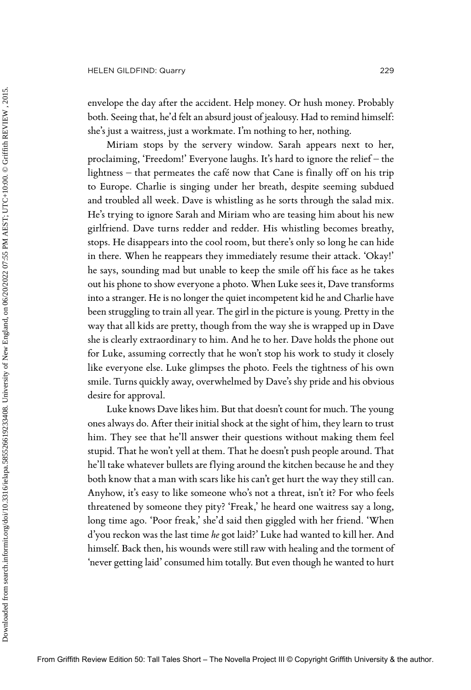envelope the day after the accident. Help money. Or hush money. Probably both. Seeing that, he'd felt an absurd joust of jealousy. Had to remind himself: she's just a waitress, just a workmate. I'm nothing to her, nothing.

Miriam stops by the servery window. Sarah appears next to her, proclaiming, 'Freedom!' Everyone laughs. It's hard to ignore the relief – the lightness – that permeates the café now that Cane is finally off on his trip to Europe. Charlie is singing under her breath, despite seeming subdued and troubled all week. Dave is whistling as he sorts through the salad mix. He's trying to ignore Sarah and Miriam who are teasing him about his new girlfriend. Dave turns redder and redder. His whistling becomes breathy, stops. He disappears into the cool room, but there's only so long he can hide in there. When he reappears they immediately resume their attack. 'Okay!' he says, sounding mad but unable to keep the smile off his face as he takes out his phone to show everyone a photo. When Luke sees it, Dave transforms into a stranger. He is no longer the quiet incompetent kid he and Charlie have been struggling to train all year. The girl in the picture is young. Pretty in the way that all kids are pretty, though from the way she is wrapped up in Dave she is clearly extraordinary to him. And he to her. Dave holds the phone out for Luke, assuming correctly that he won't stop his work to study it closely like everyone else. Luke glimpses the photo. Feels the tightness of his own smile. Turns quickly away, overwhelmed by Dave's shy pride and his obvious desire for approval. ervelope the day after the accident, Help money. Or bush money. Prukably<br>both Seeing that, is distinguible and for an absurable money and the creation of the state of the state of the state of the state of the state of th

Luke knows Dave likes him. But that doesn't count for much. The young ones always do. After their initial shock at the sight of him, they learn to trust him. They see that he'll answer their questions without making them feel stupid. That he won't yell at them. That he doesn't push people around. That he'll take whatever bullets are flying around the kitchen because he and they both know that a man with scars like his can't get hurt the way they still can. Anyhow, it's easy to like someone who's not a threat, isn't it? For who feels threatened by someone they pity? 'Freak,' he heard one waitress say a long, long time ago. 'Poor freak,' she'd said then giggled with her friend. 'When d'you reckon was the last time *he* got laid?' Luke had wanted to kill her. And himself. Back then, his wounds were still raw with healing and the torment of 'never getting laid' consumed him totally. But even though he wanted to hurt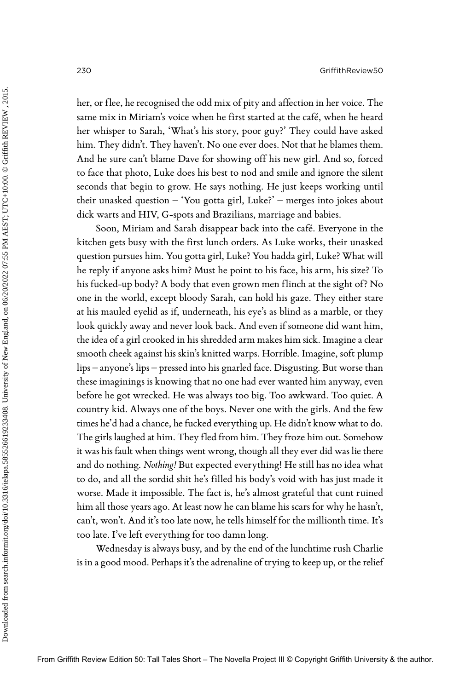her, or flee, he recognised the odd mix of pity and affection in her voice. The same mix in Miriam's voice when he first started at the café, when he heard her whisper to Sarah, 'What's his story, poor guy?' They could have asked him. They didn't. They haven't. No one ever does. Not that he blames them. And he sure can't blame Dave for showing off his new girl. And so, forced to face that photo, Luke does his best to nod and smile and ignore the silent seconds that begin to grow. He says nothing. He just keeps working until their unasked question – 'You gotta girl, Luke?' – merges into jokes about dick warts and HIV, G-spots and Brazilians, marriage and babies.

Soon, Miriam and Sarah disappear back into the café. Everyone in the kitchen gets busy with the first lunch orders. As Luke works, their unasked question pursues him. You gotta girl, Luke? You hadda girl, Luke? What will he reply if anyone asks him? Must he point to his face, his arm, his size? To his fucked-up body? A body that even grown men flinch at the sight of? No one in the world, except bloody Sarah, can hold his gaze. They either stare at his mauled eyelid as if, underneath, his eye's as blind as a marble, or they look quickly away and never look back. And even if someone did want him, the idea of a girl crooked in his shredded arm makes him sick. Imagine a clear smooth cheek against his skin's knitted warps. Horrible. Imagine, soft plump lips – anyone's lips – pressed into his gnarled face. Disgusting. But worse than these imaginings is knowing that no one had ever wanted him anyway, even before he got wrecked. He was always too big. Too awkward. Too quiet. A country kid. Always one of the boys. Never one with the girls. And the few times he'd had a chance, he fucked everything up. He didn't know what to do. The girls laughed at him. They fled from him. They froze him out. Somehow it was his fault when things went wrong, though all they ever did was lie there and do nothing. *Nothing!* But expected everything! He still has no idea what to do, and all the sordid shit he's filled his body's void with has just made it worse. Made it impossible. The fact is, he's almost grateful that cunt ruined him all those years ago. At least now he can blame his scars for why he hasn't, can't, won't. And it's too late now, he tells himself for the millionth time. It's too late. I've left everything for too damn long. her, or Flue, be recouptiond the noid mix of pity and affector in her votice. The<br>sume matrix in Minimity voice when he first started at the GHE, when he heard<br>for whiper to Sarah. "What's linis story, poor goy?" Eury cou

Wednesday is always busy, and by the end of the lunchtime rush Charlie is in a good mood. Perhaps it's the adrenaline of trying to keep up, or the relief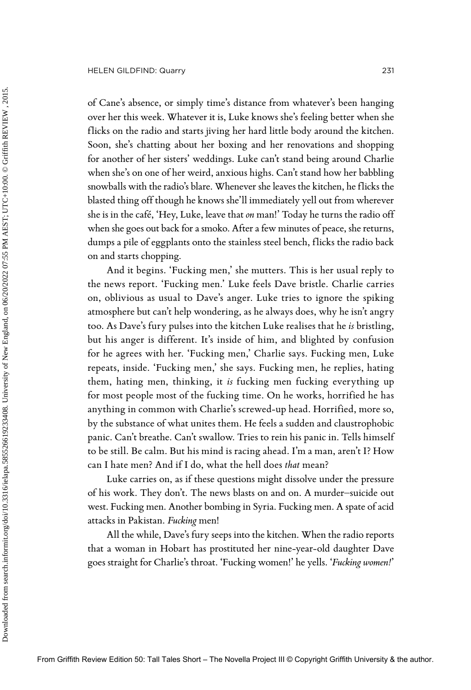of Cane's absence, or simply time's distance from whatever's been hanging over her this week. Whatever it is, Luke knows she's feeling better when she flicks on the radio and starts jiving her hard little body around the kitchen. Soon, she's chatting about her boxing and her renovations and shopping for another of her sisters' weddings. Luke can't stand being around Charlie when she's on one of her weird, anxious highs. Can't stand how her babbling snowballs with the radio's blare. Whenever she leaves the kitchen, he flicks the blasted thing off though he knows she'll immediately yell out from wherever she is in the café, 'Hey, Luke, leave that *on* man!' Today he turns the radio off when she goes out back for a smoko. After a few minutes of peace, she returns, dumps a pile of eggplants onto the stainless steel bench, flicks the radio back on and starts chopping.

And it begins. 'Fucking men,' she mutters. This is her usual reply to the news report. 'Fucking men.' Luke feels Dave bristle. Charlie carries on, oblivious as usual to Dave's anger. Luke tries to ignore the spiking atmosphere but can't help wondering, as he always does, why he isn't angry too. As Dave's fury pulses into the kitchen Luke realises that he *is* bristling, but his anger is different. It's inside of him, and blighted by confusion for he agrees with her. 'Fucking men,' Charlie says. Fucking men, Luke repeats, inside. 'Fucking men,' she says. Fucking men, he replies, hating them, hating men, thinking, it *is* fucking men fucking everything up for most people most of the fucking time. On he works, horrified he has anything in common with Charlie's screwed-up head. Horrified, more so, by the substance of what unites them. He feels a sudden and claustrophobic panic. Can't breathe. Can't swallow. Tries to rein his panic in. Tells himself to be still. Be calm. But his mind is racing ahead. I'm a man, aren't I? How can I hate men? And if I do, what the hell does *that* mean? of Careks absence, or simply simele that<br>acce from whatever's been hanging over the this week. Which knows the<br>cells that the sole is the fit in the boson and simply the result of<br>the different sole and starts jumply for

Luke carries on, as if these questions might dissolve under the pressure of his work. They don't. The news blasts on and on. A murder–suicide out west. Fucking men. Another bombing in Syria. Fucking men. A spate of acid attacks in Pakistan. *Fucking* men!

All the while, Dave's fury seeps into the kitchen. When the radio reports that a woman in Hobart has prostituted her nine-year-old daughter Dave goes straight for Charlie's throat. 'Fucking women!' he yells. '*Fucking women!*'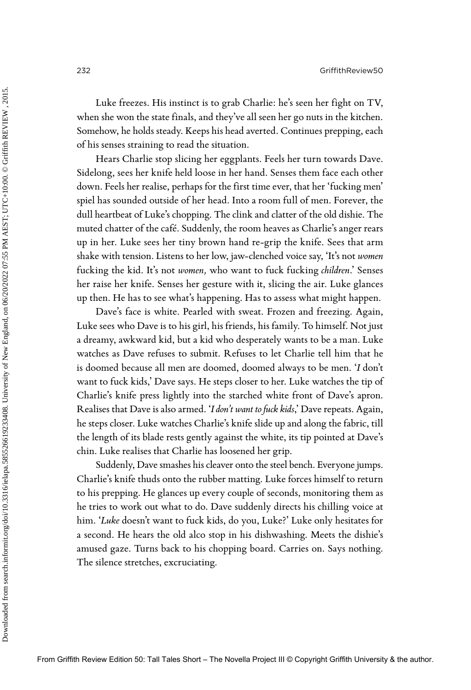Luke freezes. His instinct is to grab Charlie: he's seen her fight on TV, when she won the state finals, and they've all seen her go nuts in the kitchen. Somehow, he holds steady. Keeps his head averted. Continues prepping, each of his senses straining to read the situation.

Hears Charlie stop slicing her eggplants. Feels her turn towards Dave. Sidelong, sees her knife held loose in her hand. Senses them face each other down. Feels her realise, perhaps for the first time ever, that her 'fucking men' spiel has sounded outside of her head. Into a room full of men. Forever, the dull heartbeat of Luke's chopping. The clink and clatter of the old dishie. The muted chatter of the café. Suddenly, the room heaves as Charlie's anger rears up in her. Luke sees her tiny brown hand re-grip the knife. Sees that arm shake with tension. Listens to her low, jaw-clenched voice say, 'It's not *women* fucking the kid. It's not *women,* who want to fuck fucking *children*.' Senses her raise her knife. Senses her gesture with it, slicing the air. Luke glances up then. He has to see what's happening. Has to assess what might happen. Take freezes. His institute it grab Charles he's one the flight on TV,<br>then be won the referred task, and they we all be taken the particular<br>Smallow I. Is chosen to the kinden.<br>Somehow, I.e. holds assedy. Recept his lead

Dave's face is white. Pearled with sweat. Frozen and freezing. Again, Luke sees who Dave is to his girl, his friends, his family. To himself. Not just a dreamy, awkward kid, but a kid who desperately wants to be a man. Luke watches as Dave refuses to submit. Refuses to let Charlie tell him that he is doomed because all men are doomed, doomed always to be men. '*I* don't want to fuck kids,' Dave says. He steps closer to her. Luke watches the tip of Charlie's knife press lightly into the starched white front of Dave's apron. Realises that Dave is also armed. '*I don't want to fuck kids*,' Dave repeats. Again, he steps closer. Luke watches Charlie's knife slide up and along the fabric, till the length of its blade rests gently against the white, its tip pointed at Dave's chin. Luke realises that Charlie has loosened her grip.

Suddenly, Dave smashes his cleaver onto the steel bench. Everyone jumps. Charlie's knife thuds onto the rubber matting. Luke forces himself to return to his prepping. He glances up every couple of seconds, monitoring them as he tries to work out what to do. Dave suddenly directs his chilling voice at him. '*Luke* doesn't want to fuck kids, do you, Luke?' Luke only hesitates for a second. He hears the old alco stop in his dishwashing. Meets the dishie's amused gaze. Turns back to his chopping board. Carries on. Says nothing. The silence stretches, excruciating.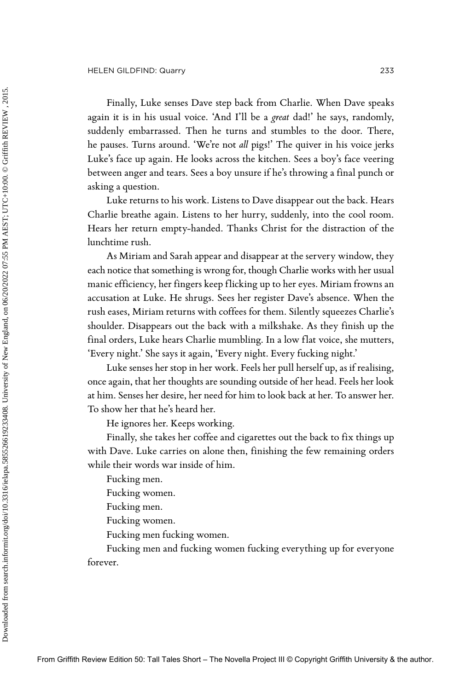Finally, Luke senses Dave step back from Charlie. When Dave speaks again it is in his usual voice. 'And I'll be a *great* dad!' he says, randomly, suddenly embarrassed. Then he turns and stumbles to the door. There, he pauses. Turns around. 'We're not *all* pigs!' The quiver in his voice jerks Luke's face up again. He looks across the kitchen. Sees a boy's face veering between anger and tears. Sees a boy unsure if he's throwing a final punch or asking a question.

Luke returns to his work. Listens to Dave disappear out the back. Hears Charlie breathe again. Listens to her hurry, suddenly, into the cool room. Hears her return empty-handed. Thanks Christ for the distraction of the lunchtime rush.

As Miriam and Sarah appear and disappear at the servery window, they each notice that something is wrong for, though Charlie works with her usual manic efficiency, her fingers keep flicking up to her eyes. Miriam frowns an accusation at Luke. He shrugs. Sees her register Dave's absence. When the rush eases, Miriam returns with coffees for them. Silently squeezes Charlie's shoulder. Disappears out the back with a milkshake. As they finish up the final orders, Luke hears Charlie mumbling. In a low flat voice, she mutters, 'Every night.' She says it again, 'Every night. Every fucking night.' Finally, Lake senses Dave step hack from Charlie, When Dave speaks<br>spatis it is in his unit usual votes And III be a good fold. They can controlly,<br>subleadly conductive moment. We're we adjust The leavest for say, randoml

Luke senses her stop in her work. Feels her pull herself up, as if realising, once again, that her thoughts are sounding outside of her head. Feels her look at him. Senses her desire, her need for him to look back at her. To answer her. To show her that he's heard her.

He ignores her. Keeps working.

Finally, she takes her coffee and cigarettes out the back to fix things up with Dave. Luke carries on alone then, finishing the few remaining orders while their words war inside of him.

Fucking men.

Fucking women.

Fucking men.

Fucking women.

Fucking men fucking women.

Fucking men and fucking women fucking everything up for everyone forever.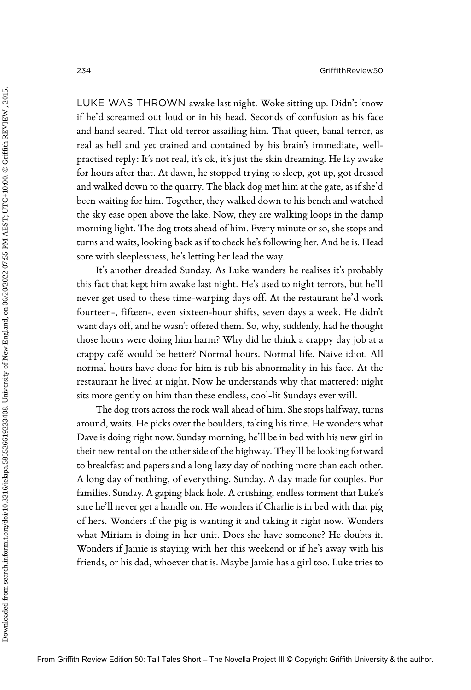LUKE WAS THROWN awake last night. Woke sitting up. Didn't know if he'd screamed out loud or in his head. Seconds of confusion as his face and hand seared. That old terror assailing him. That queer, banal terror, as real as hell and yet trained and contained by his brain's immediate, wellpractised reply: It's not real, it's ok, it's just the skin dreaming. He lay awake for hours after that. At dawn, he stopped trying to sleep, got up, got dressed and walked down to the quarry. The black dog met him at the gate, as if she'd been waiting for him. Together, they walked down to his bench and watched the sky ease open above the lake. Now, they are walking loops in the damp morning light. The dog trots ahead of him. Every minute or so, she stops and turns and waits, looking back as if to check he's following her. And he is. Head sore with sleeplessness, he's letting her lead the way. LUKE WAS THROWN awake last night. Woke sitting up, Dishr's know<br>
if led d stecarcial out lead to in its lead. Seconds of confusion as last face<br>
and land stearcd. This old terror sassiling him. That queer, band terror as<br>

It's another dreaded Sunday. As Luke wanders he realises it's probably this fact that kept him awake last night. He's used to night terrors, but he'll never get used to these time-warping days off. At the restaurant he'd work fourteen-, fifteen-, even sixteen-hour shifts, seven days a week. He didn't want days off, and he wasn't offered them. So, why, suddenly, had he thought those hours were doing him harm? Why did he think a crappy day job at a crappy café would be better? Normal hours. Normal life. Naive idiot. All normal hours have done for him is rub his abnormality in his face. At the restaurant he lived at night. Now he understands why that mattered: night sits more gently on him than these endless, cool-lit Sundays ever will.

The dog trots across the rock wall ahead of him. She stops halfway, turns around, waits. He picks over the boulders, taking his time. He wonders what Dave is doing right now. Sunday morning, he'll be in bed with his new girl in their new rental on the other side of the highway. They'll be looking forward to breakfast and papers and a long lazy day of nothing more than each other. A long day of nothing, of everything. Sunday. A day made for couples. For families. Sunday. A gaping black hole. A crushing, endless torment that Luke's sure he'll never get a handle on. He wonders if Charlie is in bed with that pig of hers. Wonders if the pig is wanting it and taking it right now. Wonders what Miriam is doing in her unit. Does she have someone? He doubts it. Wonders if Jamie is staying with her this weekend or if he's away with his friends, or his dad, whoever that is. Maybe Jamie has a girl too. Luke tries to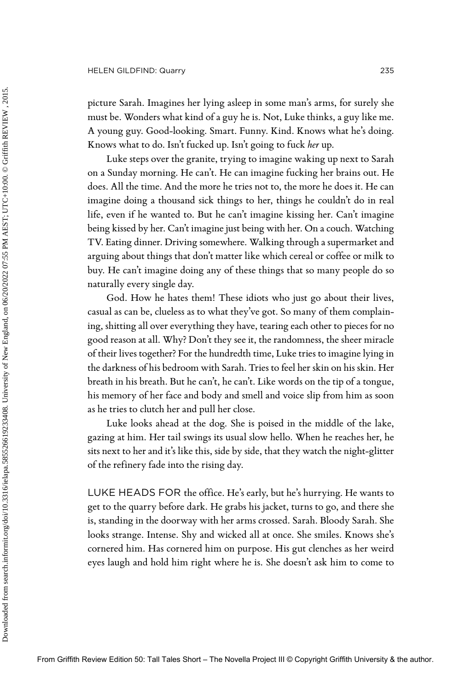picture Sarah. Imagines her lying asleep in some man's arms, for surely she must be. Wonders what kind of a guy he is. Not, Luke thinks, a guy like me. A young guy. Good-looking. Smart. Funny. Kind. Knows what he's doing. Knows what to do. Isn't fucked up. Isn't going to fuck *her* up.

Luke steps over the granite, trying to imagine waking up next to Sarah on a Sunday morning. He can't. He can imagine fucking her brains out. He does. All the time. And the more he tries not to, the more he does it. He can imagine doing a thousand sick things to her, things he couldn't do in real life, even if he wanted to. But he can't imagine kissing her. Can't imagine being kissed by her. Can't imagine just being with her. On a couch. Watching TV. Eating dinner. Driving somewhere. Walking through a supermarket and arguing about things that don't matter like which cereal or coffee or milk to buy. He can't imagine doing any of these things that so many people do so naturally every single day. pietures Sarah, Imagines her lying asleep in some man's arms, for surely she<br>must be Wonders what had of a give it is Art, Link chinks is gay like me.<br>A young guy, Good-looking, Sinart Putusy, Kind, Knows what he's doing.

God. How he hates them! These idiots who just go about their lives, casual as can be, clueless as to what they've got. So many of them complaining, shitting all over everything they have, tearing each other to pieces for no good reason at all. Why? Don't they see it, the randomness, the sheer miracle of their lives together? For the hundredth time, Luke tries to imagine lying in the darkness of his bedroom with Sarah. Tries to feel her skin on his skin. Her breath in his breath. But he can't, he can't. Like words on the tip of a tongue, his memory of her face and body and smell and voice slip from him as soon as he tries to clutch her and pull her close.

Luke looks ahead at the dog. She is poised in the middle of the lake, gazing at him. Her tail swings its usual slow hello. When he reaches her, he sits next to her and it's like this, side by side, that they watch the night-glitter of the refinery fade into the rising day.

LUKE HEADS FOR the office. He's early, but he's hurrying. He wants to get to the quarry before dark. He grabs his jacket, turns to go, and there she is, standing in the doorway with her arms crossed. Sarah. Bloody Sarah. She looks strange. Intense. Shy and wicked all at once. She smiles. Knows she's cornered him. Has cornered him on purpose. His gut clenches as her weird eyes laugh and hold him right where he is. She doesn't ask him to come to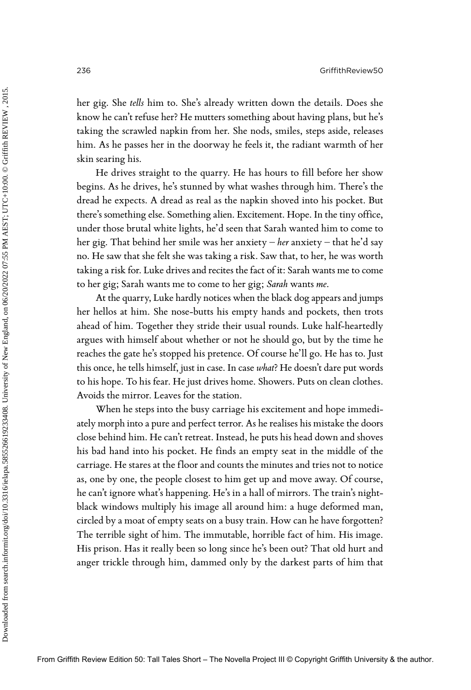her gig. She *tells* him to. She's already written down the details. Does she know he can't refuse her? He mutters something about having plans, but he's taking the scrawled napkin from her. She nods, smiles, steps aside, releases him. As he passes her in the doorway he feels it, the radiant warmth of her skin searing his.

He drives straight to the quarry. He has hours to fill before her show begins. As he drives, he's stunned by what washes through him. There's the dread he expects. A dread as real as the napkin shoved into his pocket. But there's something else. Something alien. Excitement. Hope. In the tiny office, under those brutal white lights, he'd seen that Sarah wanted him to come to her gig. That behind her smile was her anxiety – *her* anxiety – that he'd say no. He saw that she felt she was taking a risk. Saw that, to her, he was worth taking a risk for. Luke drives and recites the fact of it: Sarah wants me to come to her gig; Sarah wants me to come to her gig; *Sarah* wants *me*.

At the quarry, Luke hardly notices when the black dog appears and jumps her hellos at him. She nose-butts his empty hands and pockets, then trots ahead of him. Together they stride their usual rounds. Luke half-heartedly argues with himself about whether or not he should go, but by the time he reaches the gate he's stopped his pretence. Of course he'll go. He has to. Just this once, he tells himself, just in case. In case *what*? He doesn't dare put words to his hope. To his fear. He just drives home. Showers. Puts on clean clothes. Avoids the mirror. Leaves for the station.

When he steps into the busy carriage his excitement and hope immediately morph into a pure and perfect terror. As he realises his mistake the doors close behind him. He can't retreat. Instead, he puts his head down and shoves his bad hand into his pocket. He finds an empty seat in the middle of the carriage. He stares at the floor and counts the minutes and tries not to notice as, one by one, the people closest to him get up and move away. Of course, he can't ignore what's happening. He's in a hall of mirrors. The train's nightblack windows multiply his image all around him: a huge deformed man, circled by a moat of empty seats on a busy train. How can he have forgotten? The terrible sight of him. The immutable, horrible fact of him. His image. His prison. Has it really been so long since he's been out? That old hurt and anger trickle through him, dammed only by the darkest parts of him that For grig. She adk him to, She's already written dirws the details. Dues she<br>know is cat the first that the most competing about having plans, but the most stating the scatter<br>distance her in the distorvast here is the dis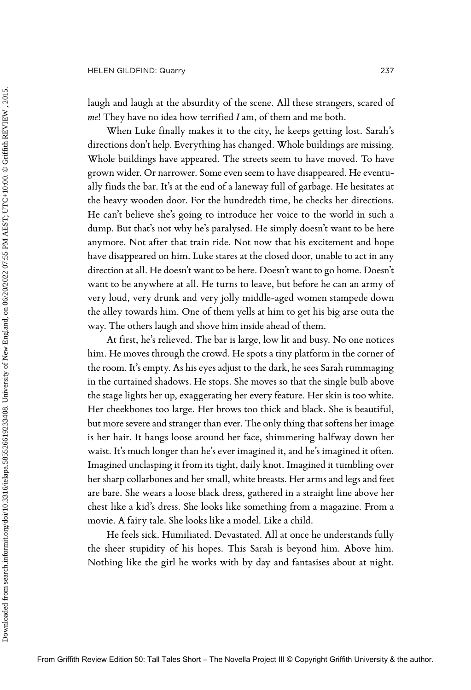laugh and laugh at the absurdity of the scene. All these strangers, scared of *me*! They have no idea how terrified *I* am, of them and me both.

When Luke finally makes it to the city, he keeps getting lost. Sarah's directions don't help. Everything has changed. Whole buildings are missing. Whole buildings have appeared. The streets seem to have moved. To have grown wider. Or narrower. Some even seem to have disappeared. He eventually finds the bar. It's at the end of a laneway full of garbage. He hesitates at the heavy wooden door. For the hundredth time, he checks her directions. He can't believe she's going to introduce her voice to the world in such a dump. But that's not why he's paralysed. He simply doesn't want to be here anymore. Not after that train ride. Not now that his excitement and hope have disappeared on him. Luke stares at the closed door, unable to act in any direction at all. He doesn't want to be here. Doesn't want to go home. Doesn't want to be anywhere at all. He turns to leave, but before he can an army of very loud, very drunk and very jolly middle-aged women stampede down the alley towards him. One of them yells at him to get his big arse outa the way. The others laugh and shove him inside ahead of them. In<br>angle a radiating of the scene. All shees are<br>negro, scared of the VIR-phase noise both observed that any collects can, of the<br>matricial any collection and radio convertical can as be reduced with the<br>phase are two pro

At first, he's relieved. The bar is large, low lit and busy. No one notices him. He moves through the crowd. He spots a tiny platform in the corner of the room. It's empty. As his eyes adjust to the dark, he sees Sarah rummaging in the curtained shadows. He stops. She moves so that the single bulb above the stage lights her up, exaggerating her every feature. Her skin is too white. Her cheekbones too large. Her brows too thick and black. She is beautiful, but more severe and stranger than ever. The only thing that softens her image is her hair. It hangs loose around her face, shimmering halfway down her waist. It's much longer than he's ever imagined it, and he's imagined it often. Imagined unclasping it from its tight, daily knot. Imagined it tumbling over her sharp collarbones and her small, white breasts. Her arms and legs and feet are bare. She wears a loose black dress, gathered in a straight line above her chest like a kid's dress. She looks like something from a magazine. From a movie. A fairy tale. She looks like a model. Like a child.

He feels sick. Humiliated. Devastated. All at once he understands fully the sheer stupidity of his hopes. This Sarah is beyond him. Above him. Nothing like the girl he works with by day and fantasises about at night.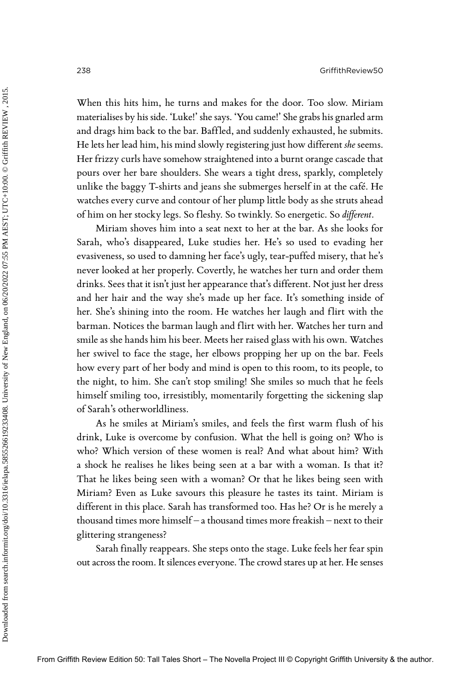When this hits him, he turns and makes for the door. Too slow. Miriam materialises by his side. 'Luke!' she says. 'You came!' She grabs his gnarled arm and drags him back to the bar. Baffled, and suddenly exhausted, he submits. He lets her lead him, his mind slowly registering just how different *she* seems. Her frizzy curls have somehow straightened into a burnt orange cascade that pours over her bare shoulders. She wears a tight dress, sparkly, completely unlike the baggy T-shirts and jeans she submerges herself in at the café. He watches every curve and contour of her plump little body as she struts ahead of him on her stocky legs. So fleshy. So twinkly. So energetic. So *different.* 

Miriam shoves him into a seat next to her at the bar. As she looks for Sarah, who's disappeared, Luke studies her. He's so used to evading her evasiveness, so used to damning her face's ugly, tear-puffed misery, that he's never looked at her properly. Covertly, he watches her turn and order them drinks. Sees that it isn't just her appearance that's different. Not just her dress and her hair and the way she's made up her face. It's something inside of her. She's shining into the room. He watches her laugh and flirt with the barman. Notices the barman laugh and flirt with her. Watches her turn and smile as she hands him his beer. Meets her raised glass with his own. Watches her swivel to face the stage, her elbows propping her up on the bar. Feels how every part of her body and mind is open to this room, to its people, to the night, to him. She can't stop smiling! She smiles so much that he feels himself smiling too, irresistibly, momentarily forgetting the sickening slap of Sarah's otherworldliness. When this hin, he turns and makes for the door. This door. Miriam unterlikted by bis also the Nation and Sheptaba in graded mate. and the particle and density his idea when the small of the means of the small density in t

As he smiles at Miriam's smiles, and feels the first warm flush of his drink, Luke is overcome by confusion. What the hell is going on? Who is who? Which version of these women is real? And what about him? With a shock he realises he likes being seen at a bar with a woman. Is that it? That he likes being seen with a woman? Or that he likes being seen with Miriam? Even as Luke savours this pleasure he tastes its taint. Miriam is different in this place. Sarah has transformed too. Has he? Or is he merely a thousand times more himself – a thousand times more freakish – next to their glittering strangeness?

Sarah finally reappears. She steps onto the stage. Luke feels her fear spin out across the room. It silences everyone. The crowd stares up at her. He senses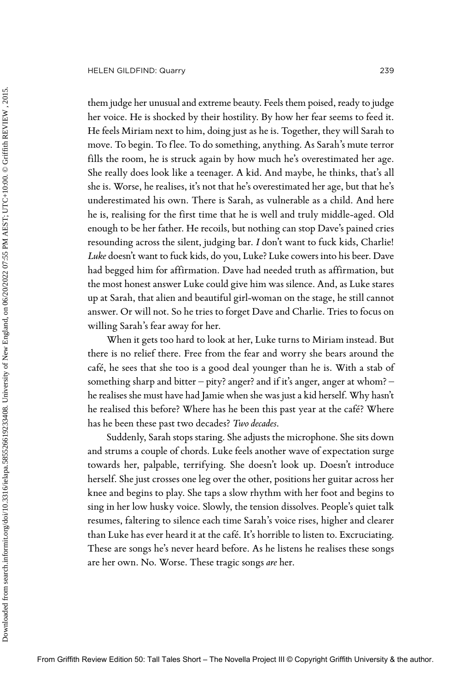them judge her unusual and extreme beauty. Feels them poised, ready to judge her voice. He is shocked by their hostility. By how her fear seems to feed it. He feels Miriam next to him, doing just as he is. Together, they will Sarah to move. To begin. To flee. To do something, anything. As Sarah's mute terror fills the room, he is struck again by how much he's overestimated her age. She really does look like a teenager. A kid. And maybe, he thinks, that's all she is. Worse, he realises, it's not that he's overestimated her age, but that he's underestimated his own. There is Sarah, as vulnerable as a child. And here he is, realising for the first time that he is well and truly middle-aged. Old enough to be her father. He recoils, but nothing can stop Dave's pained cries resounding across the silent, judging bar. *I* don't want to fuck kids, Charlie! *Luke* doesn't want to fuck kids, do you, Luke? Luke cowers into his beer. Dave had begged him for affirmation. Dave had needed truth as affirmation, but the most honest answer Luke could give him was silence. And, as Luke stares up at Sarah, that alien and beautiful girl-woman on the stage, he still cannot answer. Or will not. So he tries to forget Dave and Charlie. Tries to focus on willing Sarah's fear away for her. them judge her unusual and extreme beam;y. Feals them poised, ready in judge<br>her voice . He is included by that hostellifty, by how the fract second to fit affect the Social Minimum axt to hum, doing just as let is Togeth

When it gets too hard to look at her, Luke turns to Miriam instead. But there is no relief there. Free from the fear and worry she bears around the café, he sees that she too is a good deal younger than he is. With a stab of something sharp and bitter – pity? anger? and if it's anger, anger at whom? – he realises she must have had Jamie when she was just a kid herself. Why hasn't he realised this before? Where has he been this past year at the café? Where has he been these past two decades? *Two decades*.

Suddenly, Sarah stops staring. She adjusts the microphone. She sits down and strums a couple of chords. Luke feels another wave of expectation surge towards her, palpable, terrifying. She doesn't look up. Doesn't introduce herself. She just crosses one leg over the other, positions her guitar across her knee and begins to play. She taps a slow rhythm with her foot and begins to sing in her low husky voice. Slowly, the tension dissolves. People's quiet talk resumes, faltering to silence each time Sarah's voice rises, higher and clearer than Luke has ever heard it at the café. It's horrible to listen to. Excruciating. These are songs he's never heard before. As he listens he realises these songs are her own. No. Worse. These tragic songs *are* her.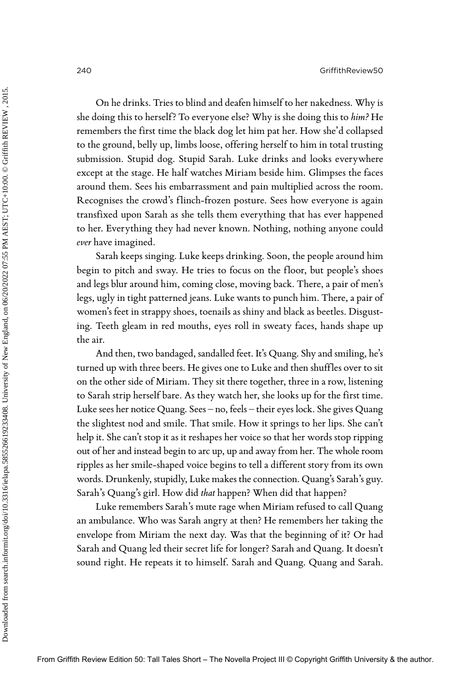On he drinks. Tries to blind and deafen himself to her nakedness. Why is she doing this to herself? To everyone else? Why is she doing this to *him?* He remembers the first time the black dog let him pat her. How she'd collapsed to the ground, belly up, limbs loose, offering herself to him in total trusting submission. Stupid dog. Stupid Sarah. Luke drinks and looks everywhere except at the stage. He half watches Miriam beside him. Glimpses the faces around them. Sees his embarrassment and pain multiplied across the room. Recognises the crowd's flinch-frozen posture. Sees how everyone is again transfixed upon Sarah as she tells them everything that has ever happened to her. Everything they had never known. Nothing, nothing anyone could *ever* have imagined.

Sarah keeps singing. Luke keeps drinking. Soon, the people around him begin to pitch and sway. He tries to focus on the floor, but people's shoes and legs blur around him, coming close, moving back. There, a pair of men's legs, ugly in tight patterned jeans. Luke wants to punch him. There, a pair of women's feet in strappy shoes, toenails as shiny and black as beetles. Disgusting. Teeth gleam in red mouths, eyes roll in sweaty faces, hands shape up the air.

And then, two bandaged, sandalled feet. It's Quang. Shy and smiling, he's turned up with three beers. He gives one to Luke and then shuffles over to sit on the other side of Miriam. They sit there together, three in a row, listening to Sarah strip herself bare. As they watch her, she looks up for the first time. Luke sees her notice Quang. Sees – no, feels – their eyes lock. She gives Quang the slightest nod and smile. That smile. How it springs to her lips. She can't help it. She can't stop it as it reshapes her voice so that her words stop ripping out of her and instead begin to arc up, up and away from her. The whole room ripples as her smile-shaped voice begins to tell a different story from its own words. Drunkenly, stupidly, Luke makes the connection. Quang's Sarah's guy. Sarah's Quang's girl. How did *that* happen? When did that happen? On be drivide, Tries to blind and deafers himself in be relatedness. Why its observation this to here that this the black dog let him particle. However, the black dollapsed recannisers the first time the black dog let him

Luke remembers Sarah's mute rage when Miriam refused to call Quang an ambulance. Who was Sarah angry at then? He remembers her taking the envelope from Miriam the next day. Was that the beginning of it? Or had Sarah and Quang led their secret life for longer? Sarah and Quang. It doesn't sound right. He repeats it to himself. Sarah and Quang. Quang and Sarah.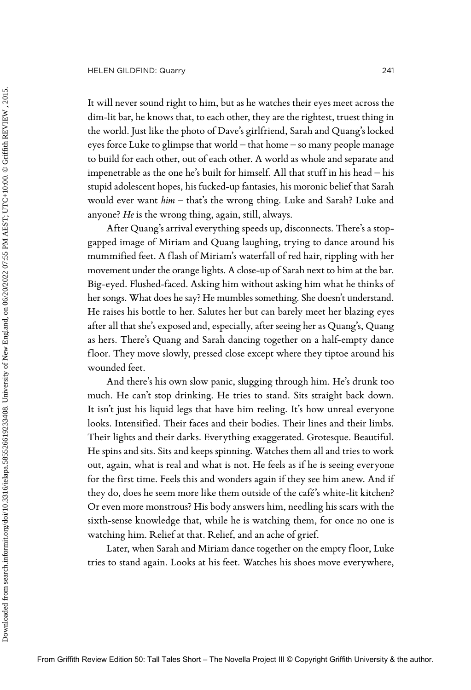It will never sound right to him, but as he watches their eyes meet across the dim-lit bar, he knows that, to each other, they are the rightest, truest thing in the world. Just like the photo of Dave's girlfriend, Sarah and Quang's locked eyes force Luke to glimpse that world – that home – so many people manage to build for each other, out of each other. A world as whole and separate and impenetrable as the one he's built for himself. All that stuff in his head – his stupid adolescent hopes, his fucked-up fantasies, his moronic belief that Sarah would ever want *him –* that's the wrong thing. Luke and Sarah? Luke and anyone? *He* is the wrong thing, again, still, always.

After Quang's arrival everything speeds up, disconnects. There's a stopgapped image of Miriam and Quang laughing, trying to dance around his mummified feet. A flash of Miriam's waterfall of red hair, rippling with her movement under the orange lights. A close-up of Sarah next to him at the bar. Big-eyed. Flushed-faced. Asking him without asking him what he thinks of her songs. What does he say? He mumbles something. She doesn't understand. He raises his bottle to her. Salutes her but can barely meet her blazing eyes after all that she's exposed and, especially, after seeing her as Quang's, Quang as hers. There's Quang and Sarah dancing together on a half-empty dance floor. They move slowly, pressed close except where they tiptoe around his wounded feet.

And there's his own slow panic, slugging through him. He's drunk too much. He can't stop drinking. He tries to stand. Sits straight back down. It isn't just his liquid legs that have him reeling. It's how unreal everyone looks. Intensified. Their faces and their bodies. Their lines and their limbs. Their lights and their darks. Everything exaggerated. Grotesque. Beautiful. He spins and sits. Sits and keeps spinning. Watches them all and tries to work out, again, what is real and what is not. He feels as if he is seeing everyone for the first time. Feels this and wonders again if they see him anew. And if they do, does he seem more like them outside of the café's white-lit kitchen? Or even more monstrous? His body answers him, needling his scars with the sixth-sense knowledge that, while he is watching them, for once no one is watching him. Relief at that. Relief, and an ache of grief. It will never sound right to binn, but as he wandrhes their eyes meet arrows the<br>
dimakhook holds. Due that, to each other, they are the fightest, record that<br>
the world. Just like the plotons of Dowe's griftlends. Samla

Later, when Sarah and Miriam dance together on the empty floor, Luke tries to stand again. Looks at his feet. Watches his shoes move everywhere,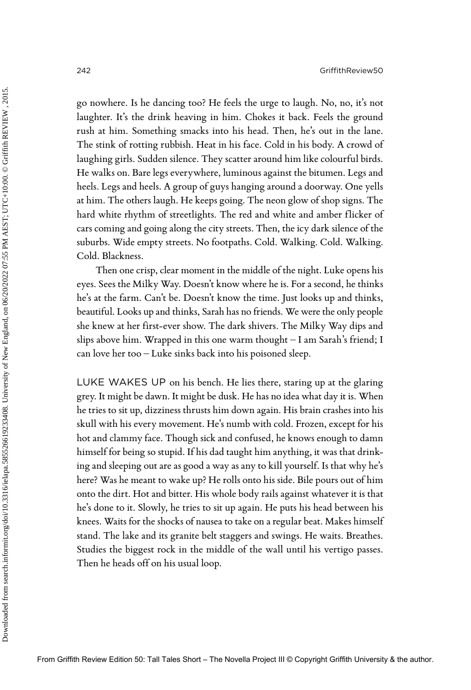go nowhere. Is he dancing too? He feels the urge to laugh. No, no, it's not laughter. It's the drink heaving in him. Chokes it back. Feels the ground rush at him. Something smacks into his head. Then, he's out in the lane. The stink of rotting rubbish. Heat in his face. Cold in his body. A crowd of laughing girls. Sudden silence. They scatter around him like colourful birds. He walks on. Bare legs everywhere, luminous against the bitumen. Legs and heels. Legs and heels. A group of guys hanging around a doorway. One yells at him. The others laugh. He keeps going. The neon glow of shop signs. The hard white rhythm of streetlights. The red and white and amber flicker of cars coming and going along the city streets. Then, the icy dark silence of the suburbs. Wide empty streets. No footpaths. Cold. Walking. Cold. Walking. Cold. Blackness.

Then one crisp, clear moment in the middle of the night. Luke opens his eyes. Sees the Milky Way. Doesn't know where he is. For a second, he thinks he's at the farm. Can't be. Doesn't know the time. Just looks up and thinks, beautiful. Looks up and thinks, Sarah has no friends. We were the only people she knew at her first-ever show. The dark shivers. The Milky Way dips and slips above him. Wrapped in this one warm thought – I am Sarah's friend; I can love her too – Luke sinks back into his poisoned sleep.

LUKE WAKES UP on his bench. He lies there, staring up at the glaring grey. It might be dawn. It might be dusk. He has no idea what day it is. When he tries to sit up, dizziness thrusts him down again. His brain crashes into his skull with his every movement. He's numb with cold. Frozen, except for his hot and clammy face. Though sick and confused, he knows enough to damn himself for being so stupid. If his dad taught him anything, it was that drinking and sleeping out are as good a way as any to kill yourself. Is that why he's here? Was he meant to wake up? He rolls onto his side. Bile pours out of him onto the dirt. Hot and bitter. His whole body rails against whatever it is that he's done to it. Slowly, he tries to sit up again. He puts his head between his knees. Waits for the shocks of nausea to take on a regular beat. Makes himself stand. The lake and its granite belt staggers and swings. He waits. Breathes. Studies the biggest rock in the middle of the wall until his vertigo passes. Then he heads off on his usual loop. go nuwbers. Is be dancing too? He fields the urge as langly. No, no, tês mus<br>longber. It's the drink hewiven ju him. Choich is bead. Then, he's out in the land<br>rank at him. Someting smales into his head. Then, he's out in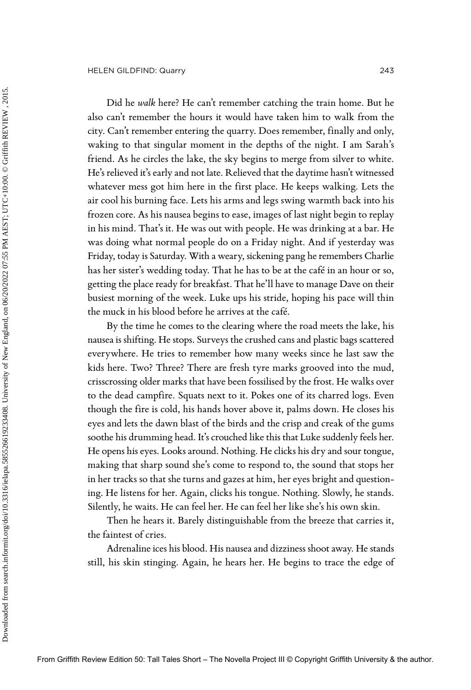Did he *walk* here? He can't remember catching the train home. But he also can't remember the hours it would have taken him to walk from the city. Can't remember entering the quarry. Does remember, finally and only, waking to that singular moment in the depths of the night. I am Sarah's friend. As he circles the lake, the sky begins to merge from silver to white. He's relieved it's early and not late. Relieved that the daytime hasn't witnessed whatever mess got him here in the first place. He keeps walking. Lets the air cool his burning face. Lets his arms and legs swing warmth back into his frozen core. As his nausea begins to ease, images of last night begin to replay in his mind. That's it. He was out with people. He was drinking at a bar. He was doing what normal people do on a Friday night. And if yesterday was Friday, today is Saturday. With a weary, sickening pang he remembers Charlie has her sister's wedding today. That he has to be at the café in an hour or so, getting the place ready for breakfast. That he'll have to manage Dave on their busiest morning of the week. Luke ups his stride, hoping his pace will thin the muck in his blood before he arrives at the café. Did he uselfs here? He can't remember catching the train home. But he<br>sloo con't remember the hotom to selly. Con't remember the bottom is vealed from the<br>slog single contribute the location is vealed to  $\pi$ . The Single

By the time he comes to the clearing where the road meets the lake, his nausea is shifting. He stops. Surveys the crushed cans and plastic bags scattered everywhere. He tries to remember how many weeks since he last saw the kids here. Two? Three? There are fresh tyre marks grooved into the mud, crisscrossing older marks that have been fossilised by the frost. He walks over to the dead campfire. Squats next to it. Pokes one of its charred logs. Even though the fire is cold, his hands hover above it, palms down. He closes his eyes and lets the dawn blast of the birds and the crisp and creak of the gums soothe his drumming head. It's crouched like this that Luke suddenly feels her. He opens his eyes. Looks around. Nothing. He clicks his dry and sour tongue, making that sharp sound she's come to respond to, the sound that stops her in her tracks so that she turns and gazes at him, her eyes bright and questioning. He listens for her. Again, clicks his tongue. Nothing. Slowly, he stands. Silently, he waits. He can feel her. He can feel her like she's his own skin.

Then he hears it. Barely distinguishable from the breeze that carries it, the faintest of cries.

Adrenaline ices his blood. His nausea and dizziness shoot away. He stands still, his skin stinging. Again, he hears her. He begins to trace the edge of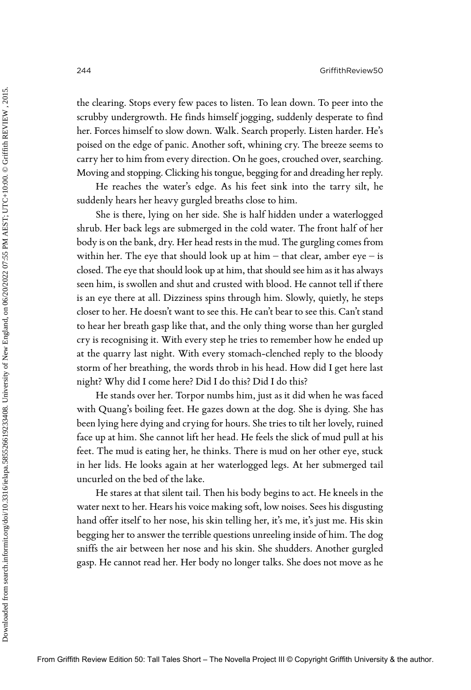the clearing. Stops every few paces to listen. To lean down. To peer into the scrubby undergrowth. He finds himself jogging, suddenly desperate to find her. Forces himself to slow down. Walk. Search properly. Listen harder. He's poised on the edge of panic. Another soft, whining cry. The breeze seems to carry her to him from every direction. On he goes, crouched over, searching. Moving and stopping. Clicking his tongue, begging for and dreading her reply.

He reaches the water's edge. As his feet sink into the tarry silt, he suddenly hears her heavy gurgled breaths close to him.

She is there, lying on her side. She is half hidden under a waterlogged shrub. Her back legs are submerged in the cold water. The front half of her body is on the bank, dry. Her head rests in the mud. The gurgling comes from within her. The eye that should look up at him – that clear, amber  $eye - is$ closed. The eye that should look up at him, that should see him as it has always seen him, is swollen and shut and crusted with blood. He cannot tell if there is an eye there at all. Dizziness spins through him. Slowly, quietly, he steps closer to her. He doesn't want to see this. He can't bear to see this. Can't stand to hear her breath gasp like that, and the only thing worse than her gurgled cry is recognising it. With every step he tries to remember how he ended up at the quarry last night. With every stomach-clenched reply to the bloody storm of her breathing, the words throb in his head. How did I get here last night? Why did I come here? Did I do this? Did I do this? the clearing Surgs every few pares in biane. To lear draw, To peer into the<br>structure of the first himself (reging), saidany desperts to this different in the steps of paris. Another edd, the step of paris are two correla

He stands over her. Torpor numbs him, just as it did when he was faced with Quang's boiling feet. He gazes down at the dog. She is dying. She has been lying here dying and crying for hours. She tries to tilt her lovely, ruined face up at him. She cannot lift her head. He feels the slick of mud pull at his feet. The mud is eating her, he thinks. There is mud on her other eye, stuck in her lids. He looks again at her waterlogged legs. At her submerged tail uncurled on the bed of the lake.

He stares at that silent tail. Then his body begins to act. He kneels in the water next to her. Hears his voice making soft, low noises. Sees his disgusting hand offer itself to her nose, his skin telling her, it's me, it's just me. His skin begging her to answer the terrible questions unreeling inside of him. The dog sniffs the air between her nose and his skin. She shudders. Another gurgled gasp. He cannot read her. Her body no longer talks. She does not move as he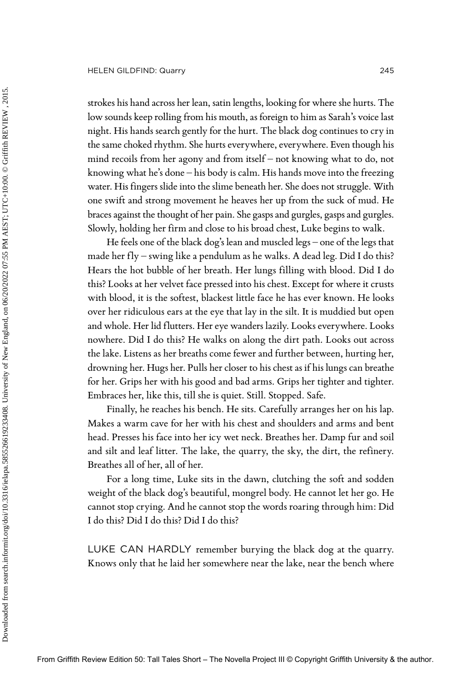strokes his hand across her lean, satin lengths, looking for where she hurts. The low sounds keep rolling from his mouth, as foreign to him as Sarah's voice last night. His hands search gently for the hurt. The black dog continues to cry in the same choked rhythm. She hurts everywhere, everywhere. Even though his mind recoils from her agony and from itself – not knowing what to do, not knowing what he's done – his body is calm. His hands move into the freezing water. His fingers slide into the slime beneath her. She does not struggle. With one swift and strong movement he heaves her up from the suck of mud. He braces against the thought of her pain. She gasps and gurgles, gasps and gurgles. Slowly, holding her firm and close to his broad chest, Luke begins to walk.

He feels one of the black dog's lean and muscled legs – one of the legs that made her fly – swing like a pendulum as he walks. A dead leg. Did I do this? Hears the hot bubble of her breath. Her lungs filling with blood. Did I do this? Looks at her velvet face pressed into his chest. Except for where it crusts with blood, it is the softest, blackest little face he has ever known. He looks over her ridiculous ears at the eye that lay in the silt. It is muddied but open and whole. Her lid flutters. Her eye wanders lazily. Looks everywhere. Looks nowhere. Did I do this? He walks on along the dirt path. Looks out across the lake. Listens as her breaths come fewer and further between, hurting her, drowning her. Hugs her. Pulls her closer to his chest as if his lungs can breathe for her. Grips her with his good and bad arms. Grips her tighter and tighter. Embraces her, like this, till she is quiet. Still. Stopped. Safe. strokes bis bard across her lears, satir lengths, looking for where she hurts. The<br>low sounds keep to big monitum mont that the limit of the bard Satir Sheek list<br>strigglin this lands strictly point in the limit. This bla

Finally, he reaches his bench. He sits. Carefully arranges her on his lap. Makes a warm cave for her with his chest and shoulders and arms and bent head. Presses his face into her icy wet neck. Breathes her. Damp fur and soil and silt and leaf litter. The lake, the quarry, the sky, the dirt, the refinery. Breathes all of her, all of her.

For a long time, Luke sits in the dawn, clutching the soft and sodden weight of the black dog's beautiful, mongrel body. He cannot let her go. He cannot stop crying. And he cannot stop the words roaring through him: Did I do this? Did I do this? Did I do this?

LUKE CAN HARDLY remember burying the black dog at the quarry. Knows only that he laid her somewhere near the lake, near the bench where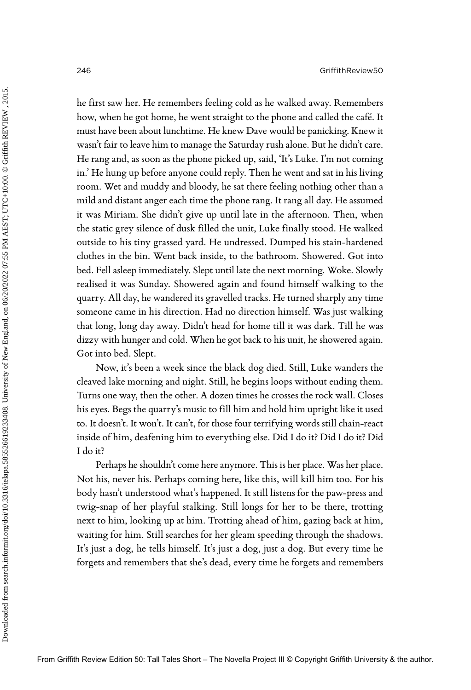he first saw her. He remembers feeling cold as he walked away. Remembers how, when he got home, he went straight to the phone and called the café. It must have been about lunchtime. He knew Dave would be panicking. Knew it wasn't fair to leave him to manage the Saturday rush alone. But he didn't care. He rang and, as soon as the phone picked up, said, 'It's Luke. I'm not coming in.' He hung up before anyone could reply. Then he went and sat in his living room. Wet and muddy and bloody, he sat there feeling nothing other than a mild and distant anger each time the phone rang. It rang all day. He assumed it was Miriam. She didn't give up until late in the afternoon. Then, when the static grey silence of dusk filled the unit, Luke finally stood. He walked outside to his tiny grassed yard. He undressed. Dumped his stain-hardened clothes in the bin. Went back inside, to the bathroom. Showered. Got into bed. Fell asleep immediately. Slept until late the next morning. Woke. Slowly realised it was Sunday. Showered again and found himself walking to the quarry. All day, he wandered its gravelled tracks. He turned sharply any time someone came in his direction. Had no direction himself. Was just walking that long, long day away. Didn't head for home till it was dark. Till he was dizzy with hunger and cold. When he got back to his unit, he showered again. Got into bed. Slept. be first case her, He remembers the ling cald as he walked away. Remembers<br>
how, when he got toon, he went etright to the phonon and called the case<br>
tuned in the state and the state of the state of the state of the state

Now, it's been a week since the black dog died. Still, Luke wanders the cleaved lake morning and night. Still, he begins loops without ending them. Turns one way, then the other. A dozen times he crosses the rock wall. Closes his eyes. Begs the quarry's music to fill him and hold him upright like it used to. It doesn't. It won't. It can't, for those four terrifying words still chain-react inside of him, deafening him to everything else. Did I do it? Did I do it? Did I do it?

Perhaps he shouldn't come here anymore. This is her place. Was her place. Not his, never his. Perhaps coming here, like this, will kill him too. For his body hasn't understood what's happened. It still listens for the paw-press and twig-snap of her playful stalking. Still longs for her to be there, trotting next to him, looking up at him. Trotting ahead of him, gazing back at him, waiting for him. Still searches for her gleam speeding through the shadows. It's just a dog, he tells himself. It's just a dog, just a dog. But every time he forgets and remembers that she's dead, every time he forgets and remembers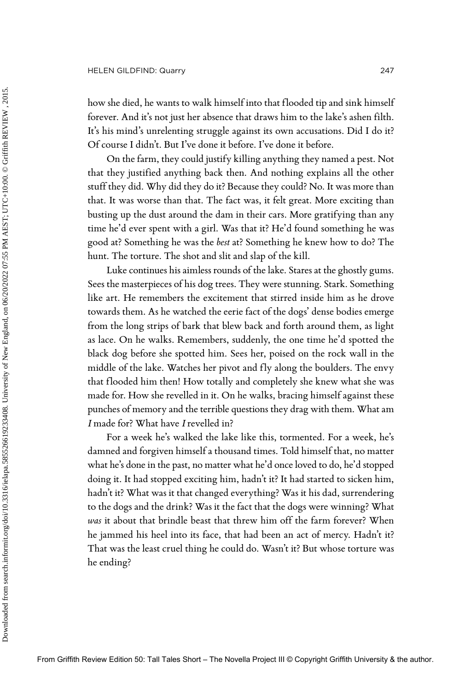how she died, he wants to walk himself into that flooded tip and sink himself forever. And it's not just her absence that draws him to the lake's ashen filth. It's his mind's unrelenting struggle against its own accusations. Did I do it? Of course I didn't. But I've done it before. I've done it before.

On the farm, they could justify killing anything they named a pest. Not that they justified anything back then. And nothing explains all the other stuff they did. Why did they do it? Because they could? No. It was more than that. It was worse than that. The fact was, it felt great. More exciting than busting up the dust around the dam in their cars. More gratifying than any time he'd ever spent with a girl. Was that it? He'd found something he was good at? Something he was the *best* at? Something he knew how to do? The hunt. The torture. The shot and slit and slap of the kill.

Luke continues his aimless rounds of the lake. Stares at the ghostly gums. Sees the masterpieces of his dog trees. They were stunning. Stark. Something like art. He remembers the excitement that stirred inside him as he drove towards them. As he watched the eerie fact of the dogs' dense bodies emerge from the long strips of bark that blew back and forth around them, as light as lace. On he walks. Remembers, suddenly, the one time he'd spotted the black dog before she spotted him. Sees her, poised on the rock wall in the middle of the lake. Watches her pivot and fly along the boulders. The envy that flooded him then! How totally and completely she knew what she was made for. How she revelled in it. On he walks, bracing himself against these punches of memory and the terrible questions they drag with them. What am *I* made for? What have *I* revelled in? Now she dued, be warst in walk binned<br><sup>F</sup>inan that flooded the and sit himself forces. And it is conjugate against at own arc time<br>in the hilder forces and finance in the state of the state state. Since the state in<br>the m

For a week he's walked the lake like this, tormented. For a week, he's damned and forgiven himself a thousand times. Told himself that, no matter what he's done in the past, no matter what he'd once loved to do, he'd stopped doing it. It had stopped exciting him, hadn't it? It had started to sicken him, hadn't it? What was it that changed everything? Was it his dad, surrendering to the dogs and the drink? Was it the fact that the dogs were winning? What *was* it about that brindle beast that threw him off the farm forever? When he jammed his heel into its face, that had been an act of mercy. Hadn't it? That was the least cruel thing he could do. Wasn't it? But whose torture was he ending?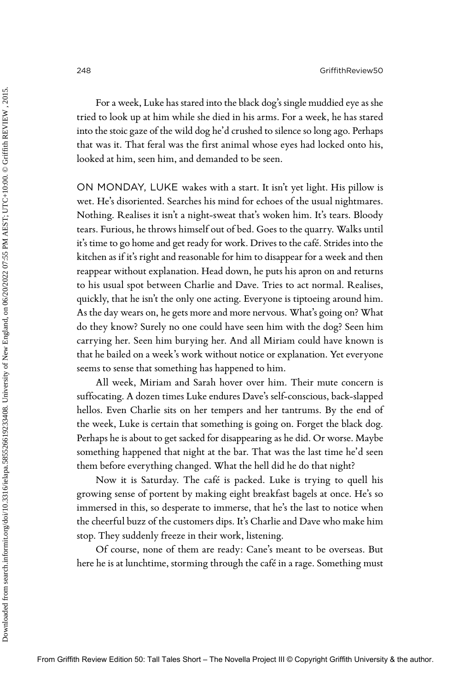For a week, Luke has stared into the black dog's single muddied eye as she tried to look up at him while she died in his arms. For a week, he has stared into the stoic gaze of the wild dog he'd crushed to silence so long ago. Perhaps that was it. That feral was the first animal whose eyes had locked onto his, looked at him, seen him, and demanded to be seen.

ON MONDAY, LUKE wakes with a start. It isn't yet light. His pillow is wet. He's disoriented. Searches his mind for echoes of the usual nightmares. Nothing. Realises it isn't a night-sweat that's woken him. It's tears. Bloody tears. Furious, he throws himself out of bed. Goes to the quarry. Walks until it's time to go home and get ready for work. Drives to the café. Strides into the kitchen as if it's right and reasonable for him to disappear for a week and then reappear without explanation. Head down, he puts his apron on and returns to his usual spot between Charlie and Dave. Tries to act normal. Realises, quickly, that he isn't the only one acting. Everyone is tiptoeing around him. As the day wears on, he gets more and more nervous. What's going on? What do they know? Surely no one could have seen him with the dog? Seen him carrying her. Seen him burying her. And all Miriam could have known is that he bailed on a week's work without notice or explanation. Yet everyone seems to sense that something has happened to him. For a week, Luke bas stared into the black day's single muddied sye as she<br>used to look to partitus while the disd in 10s smal. For 8 week, be host stared<br>into the stoic gase of the wild dog he'd crudated or slines so hos

All week, Miriam and Sarah hover over him. Their mute concern is suffocating. A dozen times Luke endures Dave's self-conscious, back-slapped hellos. Even Charlie sits on her tempers and her tantrums. By the end of the week, Luke is certain that something is going on. Forget the black dog. Perhaps he is about to get sacked for disappearing as he did. Or worse. Maybe something happened that night at the bar. That was the last time he'd seen them before everything changed. What the hell did he do that night?

Now it is Saturday. The café is packed. Luke is trying to quell his growing sense of portent by making eight breakfast bagels at once. He's so immersed in this, so desperate to immerse, that he's the last to notice when the cheerful buzz of the customers dips. It's Charlie and Dave who make him stop. They suddenly freeze in their work, listening.

Of course, none of them are ready: Cane's meant to be overseas. But here he is at lunchtime, storming through the café in a rage. Something must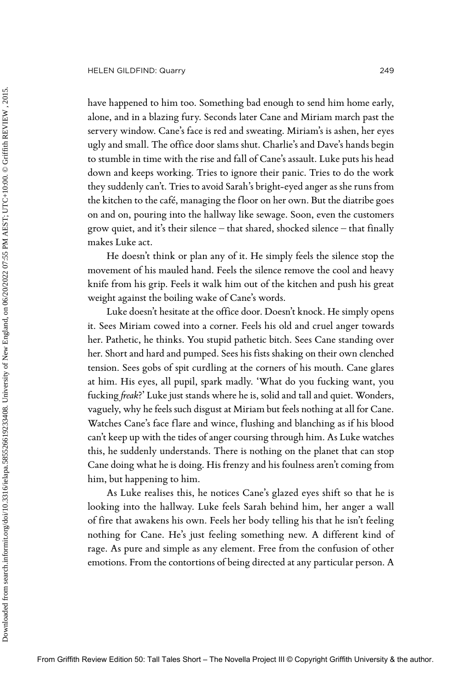have happened to him too. Something bad enough to send him home early, alone, and in a blazing fury. Seconds later Cane and Miriam march past the servery window. Cane's face is red and sweating. Miriam's is ashen, her eyes ugly and small. The office door slams shut. Charlie's and Dave's hands begin to stumble in time with the rise and fall of Cane's assault. Luke puts his head down and keeps working. Tries to ignore their panic. Tries to do the work they suddenly can't. Tries to avoid Sarah's bright-eyed anger as she runs from the kitchen to the café, managing the floor on her own. But the diatribe goes on and on, pouring into the hallway like sewage. Soon, even the customers grow quiet, and it's their silence – that shared, shocked silence – that finally makes Luke act.

He doesn't think or plan any of it. He simply feels the silence stop the movement of his mauled hand. Feels the silence remove the cool and heavy knife from his grip. Feels it walk him out of the kitchen and push his great weight against the boiling wake of Cane's words.

Luke doesn't hesitate at the office door. Doesn't knock. He simply opens it. Sees Miriam cowed into a corner. Feels his old and cruel anger towards her. Pathetic, he thinks. You stupid pathetic bitch. Sees Cane standing over her. Short and hard and pumped. Sees his fists shaking on their own clenched tension. Sees gobs of spit curdling at the corners of his mouth. Cane glares at him. His eyes, all pupil, spark madly. 'What do you fucking want, you fucking *freak*?' Luke just stands where he is, solid and tall and quiet. Wonders, vaguely, why he feels such disgust at Miriam but feels nothing at all for Cane. Watches Cane's face flare and wince, flushing and blanching as if his blood can't keep up with the tides of anger coursing through him. As Luke watches this, he suddenly understands. There is nothing on the planet that can stop Cane doing what he is doing. His frenzy and his foulness aren't coming from him, but happening to him. have happened to him stos. Sumething had enough as a<br>red him havne early, alone, and and bin his binning for second Mittian<br>in match part of several and Mittian methods are considered in the servery window. Care's face is

As Luke realises this, he notices Cane's glazed eyes shift so that he is looking into the hallway. Luke feels Sarah behind him, her anger a wall of fire that awakens his own. Feels her body telling his that he isn't feeling nothing for Cane. He's just feeling something new. A different kind of rage. As pure and simple as any element. Free from the confusion of other emotions. From the contortions of being directed at any particular person. A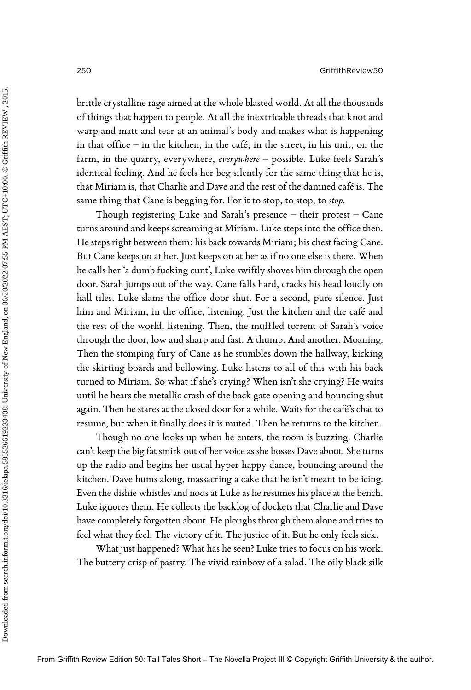brittle crystalline rage aimed at the whole blasted world. At all the thousands of things that happen to people. At all the inextricable threads that knot and warp and matt and tear at an animal's body and makes what is happening in that office – in the kitchen, in the café, in the street, in his unit, on the farm, in the quarry, everywhere, *everywhere* – possible. Luke feels Sarah's identical feeling. And he feels her beg silently for the same thing that he is, that Miriam is, that Charlie and Dave and the rest of the damned café is. The same thing that Cane is begging for. For it to stop, to stop, to *stop*.

Though registering Luke and Sarah's presence – their protest – Cane turns around and keeps screaming at Miriam. Luke steps into the office then. He steps right between them: his back towards Miriam; his chest facing Cane. But Cane keeps on at her. Just keeps on at her as if no one else is there. When he calls her 'a dumb fucking cunt', Luke swiftly shoves him through the open door. Sarah jumps out of the way. Cane falls hard, cracks his head loudly on hall tiles. Luke slams the office door shut. For a second, pure silence. Just him and Miriam, in the office, listening. Just the kitchen and the café and the rest of the world, listening. Then, the muffled torrent of Sarah's voice through the door, low and sharp and fast. A thump. And another. Moaning. Then the stomping fury of Cane as he stumbles down the hallway, kicking the skirting boards and bellowing. Luke listens to all of this with his back turned to Miriam. So what if she's crying? When isn't she crying? He waits until he hears the metallic crash of the back gate opening and bouncing shut again. Then he stares at the closed door for a while. Waits for the café's chat to resume, but when it finally does it is muted. Then he returns to the kitchen. Firsthery granithme range atmosd at the whole bihasted world. At all the shundards<br>of chings that happen to propic As all the interactionle between the location<br>of the propictive state of the state in the state of the sta

Though no one looks up when he enters, the room is buzzing. Charlie can't keep the big fat smirk out of her voice as she bosses Dave about. She turns up the radio and begins her usual hyper happy dance, bouncing around the kitchen. Dave hums along, massacring a cake that he isn't meant to be icing. Even the dishie whistles and nods at Luke as he resumes his place at the bench. Luke ignores them. He collects the backlog of dockets that Charlie and Dave have completely forgotten about. He ploughs through them alone and tries to feel what they feel. The victory of it. The justice of it. But he only feels sick.

What just happened? What has he seen? Luke tries to focus on his work. The buttery crisp of pastry. The vivid rainbow of a salad. The oily black silk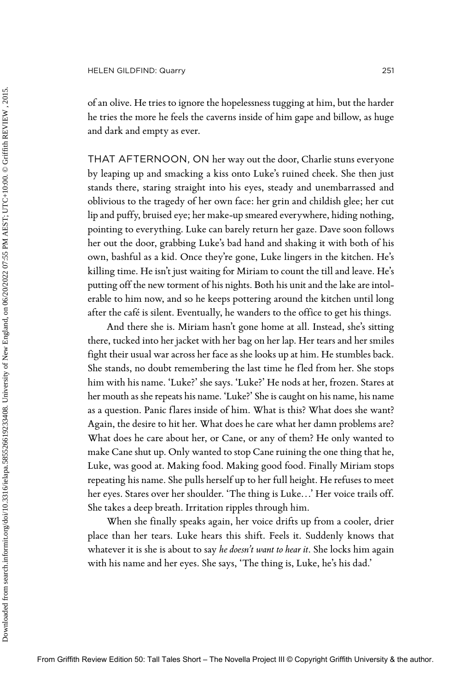of an olive. He tries to ignore the hopelessness tugging at him, but the harder he tries the more he feels the caverns inside of him gape and billow, as huge and dark and empty as ever.

THAT AFTERNOON, ON her way out the door, Charlie stuns everyone by leaping up and smacking a kiss onto Luke's ruined cheek. She then just stands there, staring straight into his eyes, steady and unembarrassed and oblivious to the tragedy of her own face: her grin and childish glee; her cut lip and puffy, bruised eye; her make-up smeared everywhere, hiding nothing, pointing to everything. Luke can barely return her gaze. Dave soon follows her out the door, grabbing Luke's bad hand and shaking it with both of his own, bashful as a kid. Once they're gone, Luke lingers in the kitchen. He's killing time. He isn't just waiting for Miriam to count the till and leave. He's putting off the new torment of his nights. Both his unit and the lake are intolerable to him now, and so he keeps pottering around the kitchen until long after the café is silent. Eventually, he wanders to the office to get his things.

And there she is. Miriam hasn't gone home at all. Instead, she's sitting there, tucked into her jacket with her bag on her lap. Her tears and her smiles fight their usual war across her face as she looks up at him. He stumbles back. She stands, no doubt remembering the last time he fled from her. She stops him with his name. 'Luke?' she says. 'Luke?' He nods at her, frozen. Stares at her mouth as she repeats his name. 'Luke?' She is caught on his name, his name as a question. Panic flares inside of him. What is this? What does she want? Again, the desire to hit her. What does he care what her damn problems are? What does he care about her, or Cane, or any of them? He only wanted to make Cane shut up. Only wanted to stop Cane ruining the one thing that he, Luke, was good at. Making food. Making good food. Finally Miriam stops repeating his name. She pulls herself up to her full height. He refuses to meet her eyes. Stares over her shoulder. 'The thing is Luke…' Her voice trails off. She takes a deep breath. Irritation ripples through him. of an olive. He trien in tigrare the long-leaseness tugging at him, but the bander<br>he rise the choose for felch corrects inside of him gaps and billow, as huge<br>and dark and compty as ever.<br>THAT AFTERNOON, ON her way cut t

When she finally speaks again, her voice drifts up from a cooler, drier place than her tears. Luke hears this shift. Feels it. Suddenly knows that whatever it is she is about to say *he doesn't want to hear it*. She locks him again with his name and her eyes. She says, 'The thing is, Luke, he's his dad.'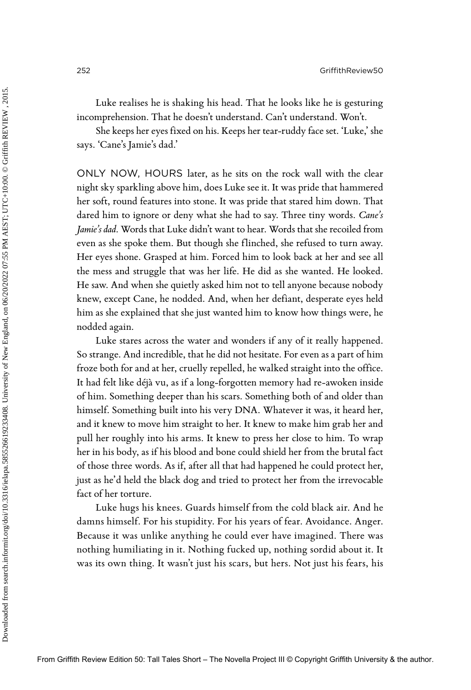Luke realises he is shaking his head. That he looks like he is gesturing incomprehension. That he doesn't understand. Can't understand. Won't.

She keeps her eyes fixed on his. Keeps her tear-ruddy face set. 'Luke,' she says. 'Cane's Jamie's dad.'

ONLY NOW, HOURS later, as he sits on the rock wall with the clear night sky sparkling above him, does Luke see it. It was pride that hammered her soft, round features into stone. It was pride that stared him down. That dared him to ignore or deny what she had to say. Three tiny words. *Cane's Jamie's dad*. Words that Luke didn't want to hear. Words that she recoiled from even as she spoke them. But though she flinched, she refused to turn away. Her eyes shone. Grasped at him. Forced him to look back at her and see all the mess and struggle that was her life. He did as she wanted. He looked. He saw. And when she quietly asked him not to tell anyone because nobody knew, except Cane, he nodded. And, when her defiant, desperate eyes held him as she explained that she just wanted him to know how things were, he nodded again. Take mathes he is to shaking his head. Thus he looks like he is genuring<br>incomprehendon. That he doesn't understand. Can't understand. Now, it is the Keepi let review like the stock on the Keepi let review in the stock wi

Luke stares across the water and wonders if any of it really happened. So strange. And incredible, that he did not hesitate. For even as a part of him froze both for and at her, cruelly repelled, he walked straight into the office. It had felt like déjà vu, as if a long-forgotten memory had re-awoken inside of him. Something deeper than his scars. Something both of and older than himself. Something built into his very DNA. Whatever it was, it heard her, and it knew to move him straight to her. It knew to make him grab her and pull her roughly into his arms. It knew to press her close to him. To wrap her in his body, as if his blood and bone could shield her from the brutal fact of those three words. As if, after all that had happened he could protect her, just as he'd held the black dog and tried to protect her from the irrevocable fact of her torture.

Luke hugs his knees. Guards himself from the cold black air. And he damns himself. For his stupidity. For his years of fear. Avoidance. Anger. Because it was unlike anything he could ever have imagined. There was nothing humiliating in it. Nothing fucked up, nothing sordid about it. It was its own thing. It wasn't just his scars, but hers. Not just his fears, his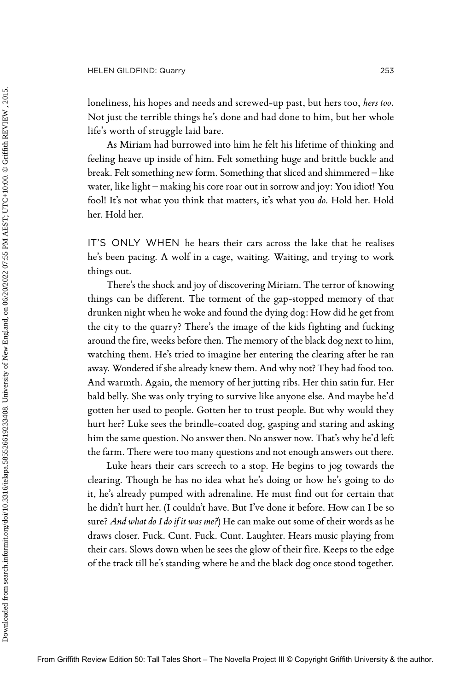loneliness, his hopes and needs and screwed-up past, but hers too, *hers too.*  Not just the terrible things he's done and had done to him, but her whole life's worth of struggle laid bare.

As Miriam had burrowed into him he felt his lifetime of thinking and feeling heave up inside of him. Felt something huge and brittle buckle and break. Felt something new form. Something that sliced and shimmered – like water, like light – making his core roar out in sorrow and joy: You idiot! You fool! It's not what you think that matters, it's what you *do.* Hold her. Hold her. Hold her.

IT'S ONLY WHEN he hears their cars across the lake that he realises he's been pacing. A wolf in a cage, waiting. Waiting, and trying to work things out.

There's the shock and joy of discovering Miriam. The terror of knowing things can be different. The torment of the gap-stopped memory of that drunken night when he woke and found the dying dog: How did he get from the city to the quarry? There's the image of the kids fighting and fucking around the fire, weeks before then. The memory of the black dog next to him, watching them. He's tried to imagine her entering the clearing after he ran away. Wondered if she already knew them. And why not? They had food too. And warmth. Again, the memory of her jutting ribs. Her thin satin fur. Her bald belly. She was only trying to survive like anyone else. And maybe he'd gotten her used to people. Gotten her to trust people. But why would they hurt her? Luke sees the brindle-coated dog, gasping and staring and asking him the same question. No answer then. No answer now. That's why he'd left the farm. There were too many questions and not enough answers out there. Invalues, his hopes and weak and screwed-up past, but here toon, here took book book that the term is how that the state of the state in the state in the state in the state in the state in the state in the state in the st

Luke hears their cars screech to a stop. He begins to jog towards the clearing. Though he has no idea what he's doing or how he's going to do it, he's already pumped with adrenaline. He must find out for certain that he didn't hurt her. (I couldn't have. But I've done it before. How can I be so sure? *And what do I do if it was me?*) He can make out some of their words as he draws closer. Fuck. Cunt. Fuck. Cunt. Laughter. Hears music playing from their cars. Slows down when he sees the glow of their fire. Keeps to the edge of the track till he's standing where he and the black dog once stood together.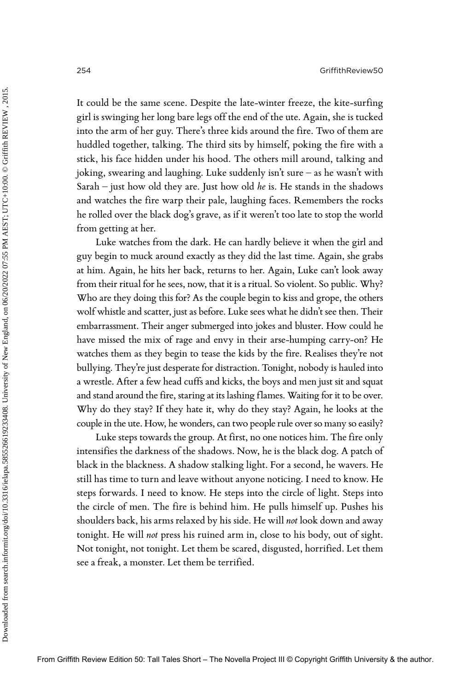It could be the same scene. Despite the late-winter freeze, the kite-surfing girl is swinging her long bare legs off the end of the ute. Again, she is tucked into the arm of her guy. There's three kids around the fire. Two of them are huddled together, talking. The third sits by himself, poking the fire with a stick, his face hidden under his hood. The others mill around, talking and joking, swearing and laughing. Luke suddenly isn't sure – as he wasn't with Sarah – just how old they are. Just how old *he* is. He stands in the shadows and watches the fire warp their pale, laughing faces. Remembers the rocks he rolled over the black dog's grave, as if it weren't too late to stop the world from getting at her.

Luke watches from the dark. He can hardly believe it when the girl and guy begin to muck around exactly as they did the last time. Again, she grabs at him. Again, he hits her back, returns to her. Again, Luke can't look away from their ritual for he sees, now, that it is a ritual. So violent. So public. Why? Who are they doing this for? As the couple begin to kiss and grope, the others wolf whistle and scatter, just as before. Luke sees what he didn't see then. Their embarrassment. Their anger submerged into jokes and bluster. How could he have missed the mix of rage and envy in their arse-humping carry-on? He watches them as they begin to tease the kids by the fire. Realises they're not bullying. They're just desperate for distraction. Tonight, nobody is hauled into a wrestle. After a few head cuffs and kicks, the boys and men just sit and squat and stand around the fire, staring at its lashing flames. Waiting for it to be over. Why do they stay? If they hate it, why do they stay? Again, he looks at the couple in the ute. How, he wonders, can two people rule over so many so easily? It could be the same scene. Despite the Lite-winter freeze, the kits-samiling<br>girl is winding that be a particular that the conditions of the track of the track of the track of the same simulate longer, as livery. The sch

Luke steps towards the group. At first, no one notices him. The fire only intensifies the darkness of the shadows. Now, he is the black dog. A patch of black in the blackness. A shadow stalking light. For a second, he wavers. He still has time to turn and leave without anyone noticing. I need to know. He steps forwards. I need to know. He steps into the circle of light. Steps into the circle of men. The fire is behind him. He pulls himself up. Pushes his shoulders back, his arms relaxed by his side. He will *not* look down and away tonight. He will *not* press his ruined arm in, close to his body, out of sight. Not tonight, not tonight. Let them be scared, disgusted, horrified. Let them see a freak, a monster. Let them be terrified.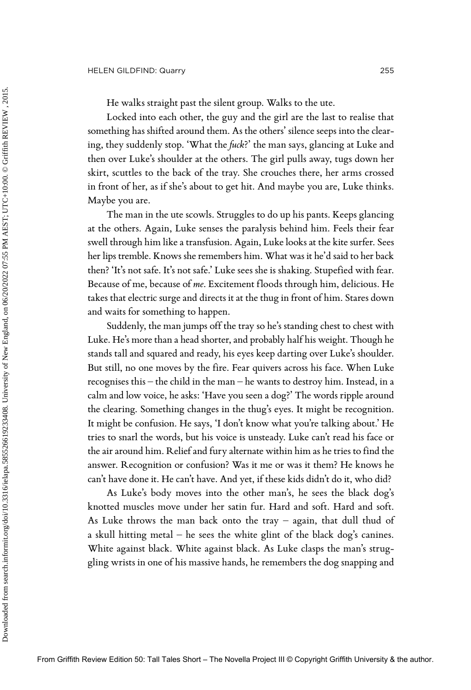He walks straight past the silent group. Walks to the ute.

Locked into each other, the guy and the girl are the last to realise that something has shifted around them. As the others' silence seeps into the clearing, they suddenly stop. 'What the *fuck*?' the man says, glancing at Luke and then over Luke's shoulder at the others. The girl pulls away, tugs down her skirt, scuttles to the back of the tray. She crouches there, her arms crossed in front of her, as if she's about to get hit. And maybe you are, Luke thinks. Maybe you are.

The man in the ute scowls. Struggles to do up his pants. Keeps glancing at the others. Again, Luke senses the paralysis behind him. Feels their fear swell through him like a transfusion. Again, Luke looks at the kite surfer. Sees her lips tremble. Knows she remembers him. What was it he'd said to her back then? 'It's not safe. It's not safe.' Luke sees she is shaking. Stupefied with fear. Because of me, because of *me*. Excitement floods through him, delicious. He takes that electric surge and directs it at the thug in front of him. Stares down and waits for something to happen.

Suddenly, the man jumps off the tray so he's standing chest to chest with Luke. He's more than a head shorter, and probably half his weight. Though he stands tall and squared and ready, his eyes keep darting over Luke's shoulder. But still, no one moves by the fire. Fear quivers across his face. When Luke recognises this – the child in the man – he wants to destroy him. Instead, in a calm and low voice, he asks: 'Have you seen a dog?' The words ripple around the clearing. Something changes in the thug's eyes. It might be recognition. It might be confusion. He says, 'I don't know what you're talking about.' He tries to snarl the words, but his voice is unsteady. Luke can't read his face or the air around him. Relief and fury alternate within him as he tries to find the answer. Recognition or confusion? Was it me or was it them? He knows he can't have done it. He can't have. And yet, if these kids didn't do it, who did? For exalks a<br>transpir pass the storae prony. Walks to the use of the cocket into cock of this conclude that the star<br>of the gap and the star to collision that the star is the star to collision that the star of the star of

As Luke's body moves into the other man's, he sees the black dog's knotted muscles move under her satin fur. Hard and soft. Hard and soft. As Luke throws the man back onto the tray – again, that dull thud of a skull hitting metal – he sees the white glint of the black dog's canines. White against black. White against black. As Luke clasps the man's struggling wrists in one of his massive hands, he remembers the dog snapping and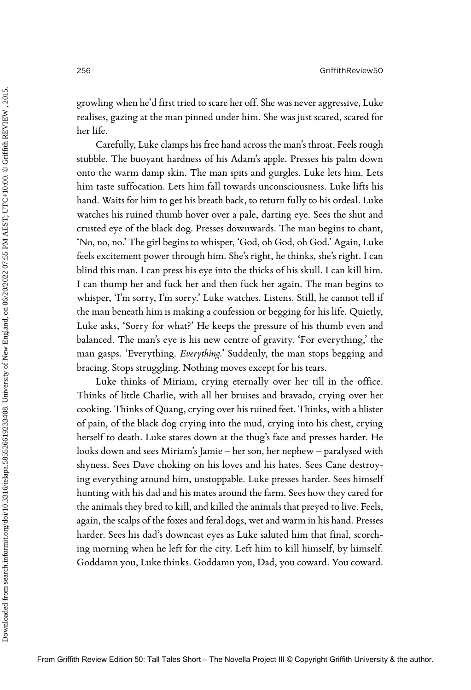growling when he'd first tried to scare her off. She was never aggressive, Luke realises, gazing at the man pinned under him. She was just scared, scared for her life.

Carefully, Luke clamps his free hand across the man's throat. Feels rough stubble. The buoyant hardness of his Adam's apple. Presses his palm down onto the warm damp skin. The man spits and gurgles. Luke lets him. Lets him taste suffocation. Lets him fall towards unconsciousness. Luke lifts his hand. Waits for him to get his breath back, to return fully to his ordeal. Luke watches his ruined thumb hover over a pale, darting eye. Sees the shut and crusted eye of the black dog. Presses downwards. The man begins to chant, 'No, no, no.' The girl begins to whisper, 'God, oh God, oh God.' Again, Luke feels excitement power through him. She's right, he thinks, she's right. I can blind this man. I can press his eye into the thicks of his skull. I can kill him. I can thump her and fuck her and then fuck her again. The man begins to whisper, 'I'm sorry, I'm sorry.' Luke watches. Listens. Still, he cannot tell if the man beneath him is making a confession or begging for his life. Quietly, Luke asks, 'Sorry for what?' He keeps the pressure of his thumb even and balanced. The man's eye is his new centre of gravity. 'For everything,' the man gasps. 'Everything. *Everything.*' Suddenly, the man stops begging and bracing. Stops struggling. Nothing moves except for his tears. growling when he'd first tried to scare her off. She was never aggressive, Lake<br>
realistic, garing at the man pinned under kim. She was just reared, scared for<br>
lear life.<br>
Lear life,<br>
Lear life, Lake dechrique his free h

Luke thinks of Miriam, crying eternally over her till in the office. Thinks of little Charlie, with all her bruises and bravado, crying over her cooking. Thinks of Quang, crying over his ruined feet. Thinks, with a blister of pain, of the black dog crying into the mud, crying into his chest, crying herself to death. Luke stares down at the thug's face and presses harder. He looks down and sees Miriam's Jamie – her son, her nephew – paralysed with shyness. Sees Dave choking on his loves and his hates. Sees Cane destroying everything around him, unstoppable. Luke presses harder. Sees himself hunting with his dad and his mates around the farm. Sees how they cared for the animals they bred to kill, and killed the animals that preyed to live. Feels, again, the scalps of the foxes and feral dogs, wet and warm in his hand. Presses harder. Sees his dad's downcast eyes as Luke saluted him that final, scorching morning when he left for the city. Left him to kill himself, by himself. Goddamn you, Luke thinks. Goddamn you, Dad, you coward. You coward.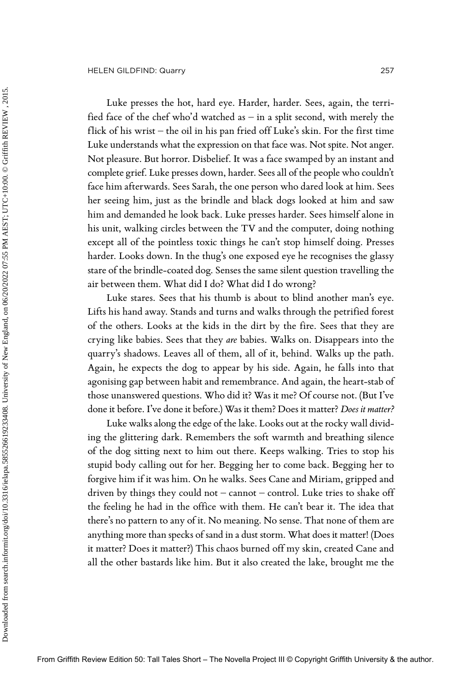Luke presses the hot, hard eye. Harder, harder. Sees, again, the terrified face of the chef who'd watched as – in a split second, with merely the flick of his wrist – the oil in his pan fried off Luke's skin. For the first time Luke understands what the expression on that face was. Not spite. Not anger. Not pleasure. But horror. Disbelief. It was a face swamped by an instant and complete grief. Luke presses down, harder. Sees all of the people who couldn't face him afterwards. Sees Sarah, the one person who dared look at him. Sees her seeing him, just as the brindle and black dogs looked at him and saw him and demanded he look back. Luke presses harder. Sees himself alone in his unit, walking circles between the TV and the computer, doing nothing except all of the pointless toxic things he can't stop himself doing. Presses harder. Looks down. In the thug's one exposed eye he recognises the glassy stare of the brindle-coated dog. Senses the same silent question travelling the air between them. What did I do? What did I do wrong? Take preses the best, bard eye. Harder, barder, Sees, again, the seri-<br>field field of fit of the windbed worked of a - in a split second, with merely the<br>fit of the different of the different of the different of the conte

Luke stares. Sees that his thumb is about to blind another man's eye. Lifts his hand away. Stands and turns and walks through the petrified forest of the others. Looks at the kids in the dirt by the fire. Sees that they are crying like babies. Sees that they *are* babies. Walks on. Disappears into the quarry's shadows. Leaves all of them, all of it, behind. Walks up the path. Again, he expects the dog to appear by his side. Again, he falls into that agonising gap between habit and remembrance. And again, the heart-stab of those unanswered questions. Who did it? Was it me? Of course not. (But I've done it before. I've done it before.) Was it them? Does it matter? *Does it matter?*

Luke walks along the edge of the lake. Looks out at the rocky wall dividing the glittering dark. Remembers the soft warmth and breathing silence of the dog sitting next to him out there. Keeps walking. Tries to stop his stupid body calling out for her. Begging her to come back. Begging her to forgive him if it was him. On he walks. Sees Cane and Miriam, gripped and driven by things they could not – cannot – control. Luke tries to shake off the feeling he had in the office with them. He can't bear it. The idea that there's no pattern to any of it. No meaning. No sense. That none of them are anything more than specks of sand in a dust storm. What does it matter! (Does it matter? Does it matter?) This chaos burned off my skin, created Cane and all the other bastards like him. But it also created the lake, brought me the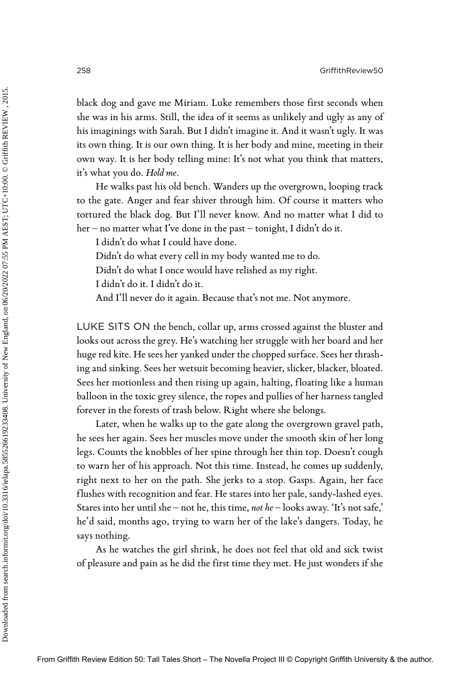black dog and gave me Miriam. Luke remembers those first seconds when she was in his arms. Still, the idea of it seems as unlikely and ugly as any of his imaginings with Sarah. But I didn't imagine it. And it wasn't ugly. It was its own thing. It is our own thing. It is her body and mine, meeting in their own way. It is her body telling mine: It's not what you think that matters, it's what you do. *Hold me.*

He walks past his old bench. Wanders up the overgrown, looping track to the gate. Anger and fear shiver through him. Of course it matters who tortured the black dog. But I'll never know. And no matter what I did to her – no matter what I've done in the past – tonight, I didn't do it.

I didn't do what I could have done.

Didn't do what every cell in my body wanted me to do.

Didn't do what I once would have relished as my right.

I didn't do it. I didn't do it.

And I'll never do it again. Because that's not me. Not anymore.

LUKE SITS ON the bench, collar up, arms crossed against the bluster and looks out across the grey. He's watching her struggle with her board and her huge red kite. He sees her yanked under the chopped surface. Sees her thrashing and sinking. Sees her wetsuit becoming heavier, slicker, blacker, bloated. Sees her motionless and then rising up again, halting, floating like a human balloon in the toxic grey silence, the ropes and pullies of her harness tangled forever in the forests of trash below. Right where she belongs.

Later, when he walks up to the gate along the overgrown gravel path, he sees her again. Sees her muscles move under the smooth skin of her long legs. Counts the knobbles of her spine through her thin top. Doesn't cough to warn her of his approach. Not this time. Instead, he comes up suddenly, right next to her on the path. She jerks to a stop. Gasps. Again, her face flushes with recognition and fear. He stares into her pale, sandy-lashed eyes. Stares into her until she – not he, this time, *not he* – looks away. 'It's not safe,' he'd said, months ago, trying to warn her of the lake's dangers. Today, he says nothing. Heach dog and gave me Mirtiam. Lake remembers those first oscillation that simulation and the simulation with the big of the set of the sets as unlikely and uply a sany of the simulation with simulation of the removerable

As he watches the girl shrink, he does not feel that old and sick twist of pleasure and pain as he did the first time they met. He just wonders if she